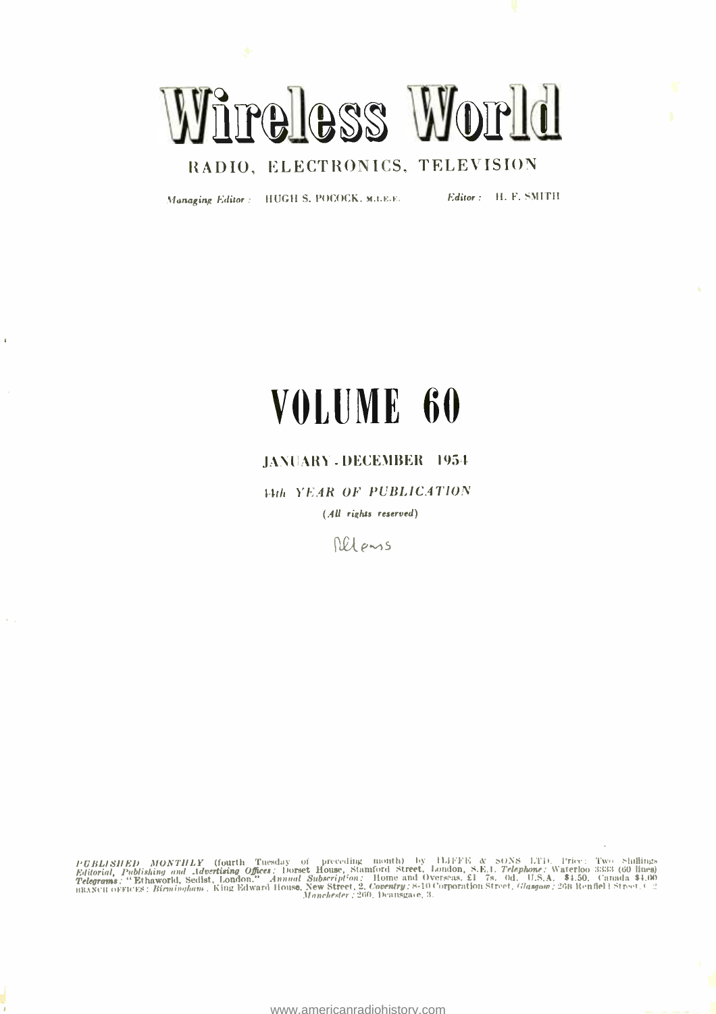# Wireless World

RADIO, ELECTRONICS, TELEVISION

Managing Editor: HUGH S. POCOCK. M.L.E.E.

Editor: H. F. SMITH

## VOLUME 60

#### JANUARY - DECEMBER 1954

**Hth YEAR OF PUBLICATION** (All rights reserved)

Delpus

PGBLISHED MONTHLY (fourth Tuesday of preceding month) by H.H.F.F.E & SONS LTD. Price: Two Shillings<br>Editorial, Publishing and Advertising Offices: Dorset House, Stamford Street, London, S.E.1. Telephone: Waterloo 3333 (60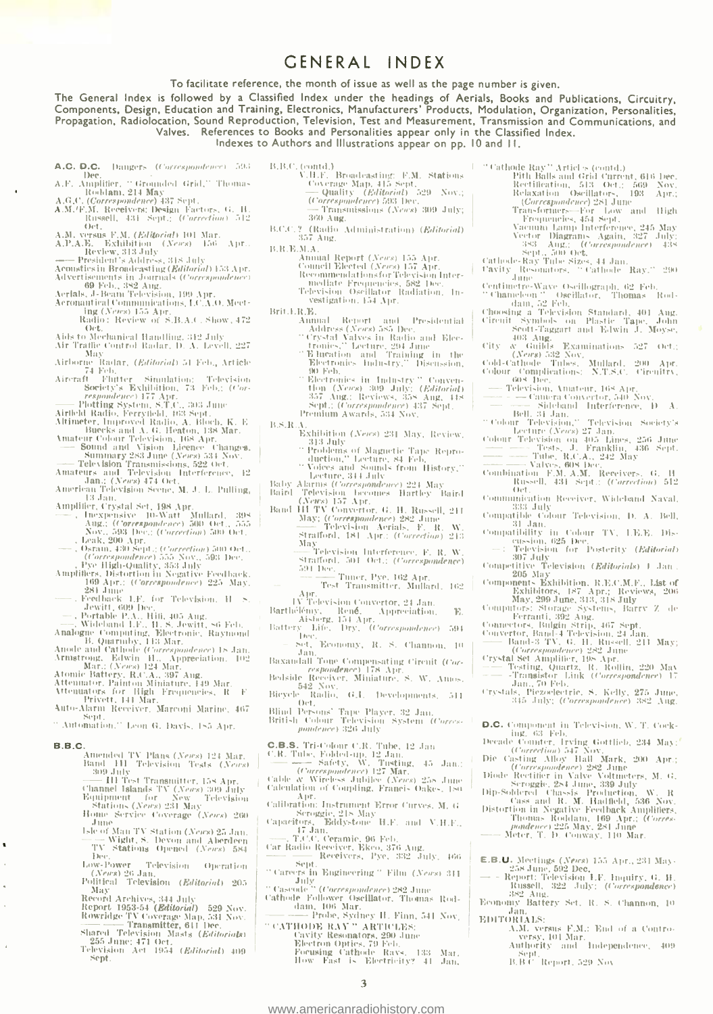#### **GENERAL INDEX**

To facilitate reference, the month of issue as well as the page number is given.

The General Index is followed by a Classified Index under the headings of Aerials, Books and Publications, Circuitry, Components, Design, Education and Training, Electronics, Manufacturers' Products, Modulation, Organization, Personalities, Propagation, Radiolocation, Sound Reproduction, Television, Test and Measurement, Transmission and Communications, and Valves. References to Books and Personalities appear only in the Classified Index. Indexes to Authors and Illustrations appear on pp. 10 and 11.

- A.C. D.C. Dangers (Correspondence) 593 Dec A.F. Amplifier, "Grounded Grid," Thomas
- 
- 
- A.r. Anphiner, Grounden Gran, Thomas<br>A.G.C. *(Correspondence*) 437 Sept.<br>A.M./F.M. Receivers: Design. Factors, G. H.<br>[Rinsael], 431 Sept.: (Correction) 512 Oet.
- 0t, Walter (Editorial) 101 Mar,<br>A.P.A.E. Exhibition (News) 156 Apr.,<br>Review, 313 July<br>— President's Address, 318 July<br>Aconstitis in Broadcasting (*Editorial*) 153 Apr.

- 
- Acoustics in Broadcasting (*Eatternal*) 153 Apr.<br>Advertisements in Journals (Correspondence)<br>69 Feb., 382 Aug.<br>Aeronautical Communications, LCA.O. Meet-<br>Aeronautical Communications, LCA.O. Meet-<br>Ing (Ners) 155 Apr.<br>Radio :
- $Oct$ ,
- Oct.<br>Aids to Mechanical Handling, 312 July<br>Air Traffic Control Radar, D. A. Levell, 227
- May Radar, (Editorial) 51 Feb., Article Airborne.
- Airborne Radar, (Editorial) 54 Feb., Article<br>Aircraft Feb., Article<br>Aircraft Flutter Simulation: Television<br>Society's Exhibition, 73 Feb.; (Correspondence) 177 Apr.<br>Plotting System, S.T.C., 303 June<br>Airlield Rado, Ferryli
- 
- 
- 
- 
- 
- 
- 
- American Television Seene, M. J. L. Pulling, Balm (18 Jan. 1976)<br>
 J. Bayensive 10-Watt Mullard, 208<br>
 J. Inexpersive 10-Watt Mullard, 208<br>
 Ang.: (Correction) 500 Oct., 555<br>
 Ang.: (Correction) 500 Oct., 555<br>
 Ang.:
	-
- 
- 
- 
- 
- 
- 
- 
- 
- " Automation," Leon G. Davis, 185 Apr.
- 
- B.B.C.
	- Amended TV Plans (News) 124 Mar. Band H1 Television Tests (News)
	- $\begin{tabular}{ c | c} \hline \textbf{309 July} & \textbf{508} & \textbf{68} & \textbf{68} & \textbf{78} \\ \hline \textbf{117} \textbf{18} & \textbf{88} & \textbf{188} & \textbf{197} \\ \hline \textbf{118} & \textbf{188} & \textbf{188} & \textbf{189} & \textbf{189} \\ \hline \textbf{118} & \textbf{189} & \textbf{188} & \textbf{189} & \textbf{189} \\ \hline \textbf{118} & \textbf{189} & \text$
	-
	- bine<br>
	1800 Man TV Station (*News*) 25 Jan.<br>
	------- Wight, S. Devon and Aberdeen<br>
	TV Stations Opened (*News*) 584 Dee,
	- Low-Power Television Operation<br>(*News*) 26 Jan,<br>Political Television (*Editorial*) 205
	- May
	-
	- May<br>Record Archives, 344 July<br>Report 1953-54 *(Editorial)* 529 Nov.<br>Rowridge TV Coverage Map, 531 Nov.<br>Shared Television Masts *(Editorials*)<br>Shared Television Masts *(Editorials*)<br>Television Act 1954 *(Editorial*) 409<br>Son
	-
	- Sept
- B.B.C. (contd.)
	- Contains Broadcasting: F.M. Stations<br>Coverage Map, 415 Sept.<br>— Quality (Editorial) 529 Nov.;<br>— Quality (Editorial) 593 Dec.
	- Transmissions (News) 309 July;
- 360 Aug. B.C.C. <sup>9</sup> (Radio Administration) (Editorial)<br>357 Ang.
- $\rm B.R.E.M.A.$ 
	- enen<br>Anmial Report (*News*) 155 Apr.<br>Council Elected (*News*) 157 Apr.<br>Recommendationsfor Television Intermediate Frequencies, 582 Dec.<br>Television Oscillator Radiation, 1n-
	- vestigation. 154 Apr
- Brit.LR E.
	- K.m.<br>
	Address (News) 585 Dec.<br>
	"Crystal Valves in Radio and Blee-<br>
	"Crystal Valves in Radio and Blee-<br>
	tronies," Lecture, 204 June<br>
	"E lucation and "Taibing" in the<br>
	"Electronics Industry." Discussion,<br>
	"Electronics Indust
		-
	- 90 Eeb Electronics in Industry " Convenience
	- For (News) 309 July: (Editorial)<br>357 Aug.: Reviews, 358 Aug. 448<br>357 Aug.: Reviews, 358 Aug. 448<br>Sept.: (Correspondence) 437 Sept.<br>Premium Awards, 534 Nov.
- $B.S.R.A$ 
	- Exhibition (News) 231 May, Review,
		-
	-
	-
- 
- Exhibition (*Nees*) 231 May, Review,<br>
231 May, Review,<br>
231 May, Review,<br>
213 May, Problems of Magnetic Taps Reproduction," Lecture, 84 Feb.<br>
224 May Alarms (*Correspondence*) 224 May<br>
18aby Alarms (*Correspondence*) 224 M
	- May Television Interference, F. R. W. Strafford, 501 Oct.; *(Correspondence*) Sermond Check<br>The Timer, Pye, 162 Apr.<br>Test Transmitter, Mullard, 162
	- Apr.<br>IV Television Convertor, 24 Jan.
- 
- 13 receives and conserved at the state of the Harthelemy, René, Appreciation, E.<br>Barthelemy, René, Orge (Correspondence) 594
- Thee, Beerle (1993)<br>Set, Economy, R. S. Channon, 10
- $\begin{tabular}{ll} $=8e1$, & Rcomons, & $\cdots$\\ \bf{Baxanball}~\bf{Tope}~\bf{Comparing}~\bf{Circuit}~(Car-Baxandall~\bf{Topo}~\bf{Homensating}~\bf{Circuit}~(Cor-Besides)~\bf{Cov},\\ \bf{Belside}~\bf{Rec)~\bf{S1T},~\bf{Minidute},~\bf{S},~\bf{W},~\bf{Mmos},\\ \bf{Bieycle}~\bf{Radio},~\bf{G},L,~\bf{Developments},~\bf{511} \\ \bf{Oot}~\bf{O1},~\bf{O1},~\bf{O2},~\bf{O$
- 
- 
- Blind Persons' Tape Player, 32 Jan.<br>British Colour Television System *(Corresspondence*) 326 July
- C.B.S. Tri-Colour C.R. Tube, 12 Jan
- 
- 
- Calculation of Coupling, Francis Oakes, 180 Apr.
- Calibration: Instrument Error Curves, M. G. Seroggie, 218 May<br>|tors, = Eddystone = H.F. and = V.H.F.
- Capacitors, E<br>47 Jan.
- 
- 
- Sent " Careers in Engineering " Film (News) 311
- 
- " Careers in Bugineering (and viewer) 282 June Calcorde Follower Oscillator, Thomas Rod-dan, 106 Mar, 2000, Start (and Calcorde Field Career) (and CATHODE RAY " ARTICLES", CATHODE RAY " ACTICLES" (and Careers Capacity Car
- HODE RAY '' ARTIULES:<br>Cavity Resonators, 290 June<br>Electron Optics, 79 Feb.<br>Focusing Cathode Rays, 133 Mar.<br>How Fast is Electricity? 41 Jan.

 $\overline{\mathbf{a}}$ 

www.americanradiohistory.com

- " Cathode Ray" Articles (contd.)<br>Pith Balls and Grid Current, 616 Dec.
	- Rectification, 513 Oct.: 569 Nov.<br>Relaxation Oscillators, 193 Apr.:
	- Low and High
	- 245 May Nacuma Lauto Interference, 245 May<br>
	Yeetor Diagrams Again, 327 July:<br>
	383 Aug.: *(Correspondence)* 438<br>
	Neutro Ray Tube Sizes, 44 Jan.<br>
	Tavity Resonators, ''Cathode Ray,'' 290<br>
	Tavity Resonators, ''Cathode Ray,'' 290<br>
	Tavi
	-
- 
- 
- 
- Cathode-Ray Tube Sizes, 44 Jan.<br>
tavity Resources, "Cathode Ray," 290<br>
June Centimetre-Wave Oscillograph, 62 Feb.<br>
Chameleon " Oscillator, Thomas Rod-<br>
dam, 52 Feb.<br>
Choosing a Television Standard, 401 Aug.<br>
Circuit Symbol
- 
- Scott-Faggart and Edwin J. Moyse,<br>
(103 Aug., 103 Aug., 103 Aug., 103 Aug., 103 Aug., 103 Nov., 104 Cold-Cathole Tubes, Mullard, 200 Apr., 104 Cold-Cathole Tubes, 104 Cold.<br>
Cold-Cathole Tubes, 104 Aug., 104 Aug., 104 Aug.
- 
- 

Oet.

ons piec<br>— Television, Amateur, 168 Apr.<br>— Camera Convertor, 540 Nov.<br>— Bell, 34 Jam.<br>— Bell, 34 Jam. 

Communication Receiver, Wideband Naval, 333 July Compatible Colour Television, D. A. Bell, Compatible Coronic renewledge is a<br>Compatibility in Colour TV, LE.E. Discussion, 625 Dec.<br>— : Television for Posterity (Editorial)<br>— : Television for Posterity (Editorial)

307 July<br>Competitive Television (Editorials) 1 Jan

Competitive Television (Editorials) 1 Jan.,<br>
Components Exhibition, R.E.C.M.F., List of<br>
Exhibitions, 187 Apr., Reviews, 206<br>
Exhibitions, 187 Apr., Reviews, 206<br>
May, 299 June, 313, 318 July<br>
Computers: Storage Systems, B

D.C. Component in Television, W. T. Cock-

**D.C.** Component in Television, W. T. Coek-becade Counter, ling as Feb. (Oerrection) 547 Nov. (Correction) 35 Nov. (Correction 347 Nov. (Correction) 102 Nov. (Correction 1 Notice Rectifier in Value Northern 1 Nov. Coek-be

E.B.U. Meetings (News) 155 Apr., 231 May-

**E.B.O.** Merrings (*SPOR)* 155 Apr., 231 May-<br>258 June, 592 Dec.<br>--- Report: Television L.F. Inquiry, G. H.<br>--- Report: Television L.F. Inquiry, G. H.<br>382 Aug.<br>Beonomy Battery Set, R. S. Channon, 10

Sept. (Berort, 529 Nov.

FALL versus F.M.: End of a Controversy, 101 Mar.<br>Authority - and - Independence, - 409

Jan. EDITORIALS: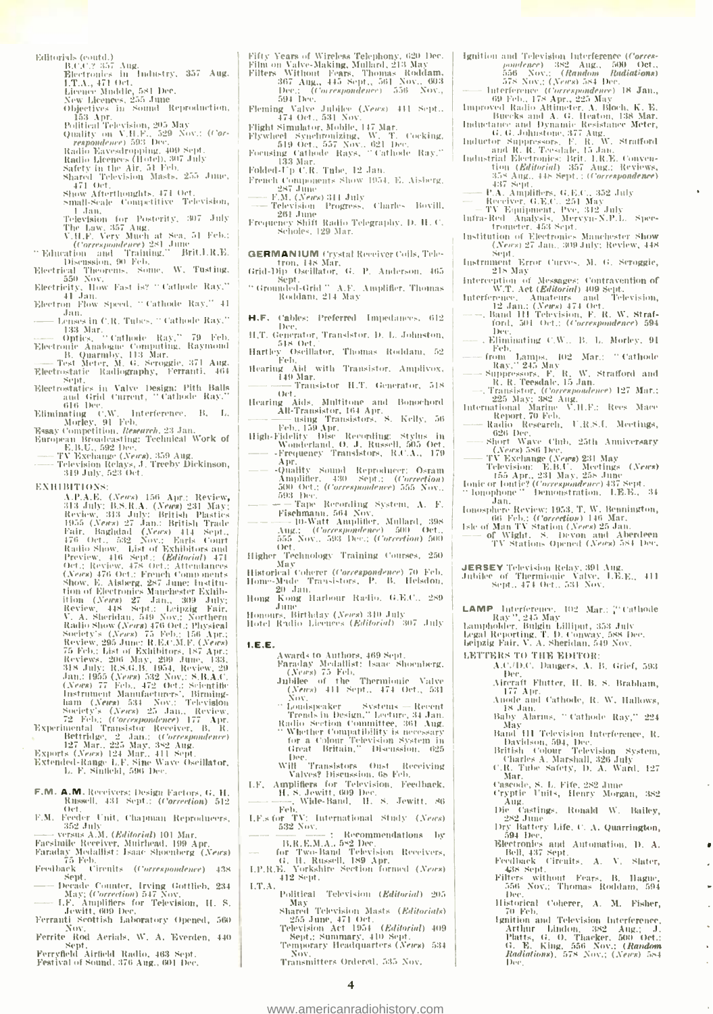- Editorials (contd.)<br>
B.C.C.? 357 Aug.<br>
Electronics in Industry, 357 Aug.<br>
L.T.A., 471 tot.<br>
Lienner Muddle, 581 Dec.<br>
New Licences, 255 June<br>
Objectives in Sound Reproduction,<br>
152 Area in Sound Reproduction,
	-
	-
	- Objectives in Sound Reproduction,<br>153 Apr.<br>205 May<br>Quality on V.H.P., 529 Nov.: (Cor-<br>expondence) 593 Dec.<br>Radio Eavesdropping, 409 Sept.<br>Radio Eavesdropping, 409 Sept.<br>Radio Licences (Hotel), 307 July<br>Safety in the Air, 5
	-
	-
	-
	-
	-
	- 471 Oct.<br>Show Afterthoughts, 471 Oct
	- small-Scale Competitive Television,  $1 - \tan$
	-
	-
- $\begin{tabular}{ll} \multicolumn{1}{l|}{\text{1. Jan.}} & \multicolumn{1}{l|}{\text{1. Jan.}} & \multicolumn{1}{l|}{\text{1. plan.}} & \multicolumn{1}{l|}{\text{Poleusion for Posterty, 307 July}} \\ \multicolumn{1}{l|}{\text{The Law, 357 Aug.}} & \multicolumn{1}{l|}{\text{V.H.F. Very Much at Sea, 51 Field}} \\ & \multicolumn{1}{l|}{\text{V.Gures/paralleler}} & \multicolumn{1}{l|}{\text{Bileu.}} \\ & \multicolumn{1}{l|}{\text{Eulerization and}} & \multicolumn{1}{l|}{\text{Trainim$
- 
- 
- Jan.<br>Lenses in C.R. Tubes, '' Cathode Ray.''
- 183 Mar.<br>
183 Mar.<br>
183 Mar.<br>
184 Martin Papier (Statione Ray, 1918).<br>
184 Martin Papier (Statione Ray, 1918).<br>
185 Quarmby, 113 Mar.<br>
186 Meter, M. G. Seroggie, 371 Aug.
- 
- Electrostatic Radiography, Ferranti, 464 Sent.
- Electrostatics in Valve Design: Pith Balls<br>and Grid Current, "Cathode Ray."
- 
- and Grid Current, "Cathode Ray."<br>
616 Dec.<br>
2006 Ber, W. Interference, B. L.<br>
Morley, 91 Feb.<br>
1988 Competition, Research, 23 Jan.<br>
European Broadcasting: Technical Work of<br>
E.B.U., 592 Dec.<br>
------------------------------
- 
- 

EXHIBITIONS:

- BIT10NS:<br>
2.B.A.E. (News) 156 Apr.: Review,<br>
3.B.A.E. (News) 231 May:<br>
Review, 333 July: B.S.R.A. (News) 231 May:<br>
Review, 333 July: British Plastics<br>
1955 (News) 27 Jan.: British Trade<br>
1476 Oct., 532 News, 1611s Court<br>
R Oct.; Review, 478 Oct.; Attendances<br>
(News, 478 Oct.; Attendances<br>
(News, E. Atsberg, 287 June; Institution of Electronics Manchester Exhibition<br>
(The Attendanc, 549 June; Review, 448 Sept.; Deipzig Fair,<br>
V. A. Sheridan,
- 
- 
- 
- F.M. A.M. Receivers: Design Factors, G. H.<br>Russell, 431 Sept.: (Correction) 512 Oet.
- F.M. Feeder Unit, Chapman Reproducers,
- 
- Son A.M. (Editorial) 101 Mar.<br>Facsimile Receiver, Muirhead, 199 Apr.<br>Faraday Medallist : Isaac Shoenberg (News)<br>Tanabash.<br>Hamiltonic
- Feedback Circuits (Correspondence) 438 Sept.
- Separt<br>Decade Counter, Irving Gottlieb, 234<br>May; (Correction) 547 Nov.<br>L.F. Amplifiers for Television, H. S.
- L.F. Amplifiers respectively. Ferranti Scottish Laboratory Opened, 560
- Nov Ferrite Rod Aerials, W. A. Everden, 440
- 
- 
- 
- Fifty Years of Wireless Telephony, 620 Dec.<br>Film on Valve-Making, Mullard, 213 May<br>Filters Without Fears, Thomas Roddam,<br> $-367$  Aug., 445 Sept., 561 Nov., 603<br>Dec.: (Correspondence) 556 Nov.,<br>594 Dec.
- 
- 
- Source Market (News) 441 Sept.,<br>
Fleming Valve Jubilee (News) 441 Sept.,<br>
174 Oct., 531 Nov.<br>
Flight Simulator, Mobile, 147 Mar.<br>
Flywleed Synchronizing, W. T. Cocking,<br>
519 Oct., 557 Nov., 621 Dec.<br>
Focusing Cathode Rays,
- 133 Mar. Folded-Up C.R. Tube, 12 Jan.
- French Components Show 1954, E. Aisberg, - 287 June<br>- 287 June<br>- 287 June<br>- Polyision - Progress, Charles - Bovill,
- 
- 261 June Frequency Shift Radio Telegraphy, D. H. C.<br>Scholes, 129 Mar.
- 
- GERMANIUM Crystal Receiver Colls, Tele-<br>tron, 148 Mar.<br>Grid-Dip Oscillator, G. P. Anderson, 465
- Sept. Sept. 214 May 214 May
- H.F. Cables: Preferred Impedances, 612
- Dee. H.T. Generator, Transistor, D. L. Johnston, 518 Oct
- Hartley O Oscillator, Thomas Roddam, 52
- Hearing Aid with Transistor, Amplivox,<br>149 Mar.
- Transistor H.T. Generator, 518
- 
- 
- A pr
- Apr. (Outlier Sound Reproducer: Osram<br>Amplifier, 430 Sept.; *(Correction*)<br>500 Oct.; *(Correspondence*) 555 Nov.,<br>593 Dec.<br>——Tape Recording System, A. F.
- 
- Flachmann, 564 Nov.<br>
Flachmann, 564 Nov.<br>
Aug.: U-Watt Anullier. Mulliarl, 388<br>
Aug.: *Correspondence*) 500 Oct.<br>
555 Nov., 593 Dec.; *(Correction*) 500 Oet.
- 
- Uet, University Training Courses, 250<br>
Historical Coherer *(Correspondence)* 70 Feb.<br>
Hone-Made Transistors, P. B. Helsdon, Home-Made
- Hong Kong Harbour Radio, G.E.C., 289 June
- Honours, Birthday (*News*) 340 July<br>Hotel Radio Licences (*Editorial*) 307 July
- LE E.
	-
	-
- Awards to Authors, 469 Sept.<br>
Paraday Medallist: Isaac Shoenberg.<br>
Crees) 75 Feb.<br>
Jubilee of the Thermionic Valve<br>
Cleres) 441 Sept., 474 Oct., 531<br>
Cleres)
	- Loudspeaker Loudspeaker – Systems — Recent<br>"Frends in Design," Lecture, 34 Jan. remus in rossian, Leeuwer, 364 Anii, Therman Committee, 364 Anii, Therman in Committee, 364 Anii, Theoria in the Galour Television in Galour Television, 525 Galour Television, 525 Galour Television, 525 Galour Television,
	- Dee.<br>All Transistors Oust<br>All Transistors ou 68 Will. Receiving Valves? Discussion, 68 Feb.
- 
- 
- $\begin{tabular}{|c|c|c|c|c|} \hline & Feb. & {\it new} & {\it new} \\ \hline I.F.s & for TV: International Study & (*Nees*) \\ \hline 532 Nov. & & & {\it new} \\ \hline \end{tabular} \begin{tabular}{c} \hline & {\it new} \\ 532 & Now. \\ \hline \end{tabular} \begin{tabular}{c} \hline & {\it new} \\ 532 & Now. \\ \hline \end{tabular}$
- 
- 
- LP.R.E. 412 Sept. LT.A.
	- Political Television (Editorial) 205
		- Poutrain<br>Shared Television Masts (*Editorials*)<br>Shared Television Act 1954 (*Editorial*) 409<br>Pelevision Act 1954 (*Editorial*) 409<br>Sept.: Summary, 410 Sept.<br>"Concesses Headquarters (*News*) 534
		-
		- Temporary Headquarters (News) 534 Nov
		- Transmitters Ordered, 535 Nov.
- $\begin{tabular}{l|c|c|c} \hline \textbf{Ig}nition and Thelexison Interference (Corres-  
poulence) & 382–Aug, & 500–Oct., \\ & 556–Nov.; (Random-Rudations) \\ & 558–Nov.; (Kerach 584–Dec.) \\ & 658–Wey. (Correspondence) 18–Jan., \\ & 69–Pol., 178–Agr., 225–May \\ & 64–Gr. [128–137, 252] \\ & 64–G. Jolmstone, 377–Aug, \\ \hline \end{tabular} \\ \hline Inductance and Dynamic Resistance Meter, and L. G. Lleaton, 138–Mar$
- 
- 
- 
- 
- 
- 
- 
- 437 Sept.<br>— R.A. Amplifiers, G.E.C., 352 July<br>— Receiver, G.E.C., 251 May<br>— Receiver, G.E.C., 251 May<br>— TV Equipment, Pye, 312 July<br>— Intra-Red Analysis, Mervyn-N.P.L. Spectronics Manchester Show<br>— Sept.<br>— That (Clearly 27
- 
- 
- 
- 218 May<br>Intereption of Messages: Contravention of<br>M.T. Act (Editorial) 409 Sept.<br>Interference. Amateurs and Pelevision,<br>202 Jan.: (News) 474 Oct.<br>2011 Television, P. R. W. Straf-<br>ford, 501 Oct.: (Correspondence) 594<br>ham Eliminating C.W., B. L. Morley, 91
- 

Radio Research, U.R.S.I. Meetings,

JERSEY Television Relay, 391 Aug.<br>Jubilee of Thermionic Valve, J.E.E., 411<br>Sept., 474 Oct., 531 Nov.

LAMP Interference, 102 Mar.; "Cathode Ray", 245 May<br>Ray", 245 May<br>Lempholder, Bulghi Eilliput, 353 July<br>Legal Reporting, T. D. Conway, 588 Dec,<br>Leipzig Fair, V. A. Sheridan, 549 Nov.

A.C./D.C. Dangers, A. B. Grief, 593

Aircraft Flutter, H. B. S. Brabham, 177 Apr.<br>Anode and Cathode, R. W. Hallows,

Baby Alarms, " Cathode Ray," 224<br>May

Band HI Television Interference, R. Bank in the second means of the Bank of the Bank of the Charles Charles Charles Charles Charles Charles Charles Charles Charles Safety, D. A. Ward, 127

anar<br>Cascode, S. L. Fife, 282 June<br>Cryptie - Units, - Henry - Morgan, - 382<br>- Aug.

Dry Battery Life, C. A. Quarrington, Dry Bartery Line, C. A. Quarrington,<br>
Blectronics and Automation, D. A.<br>
Bell, 437 Sept.

Feedback Circuits, A. V. Slater, 438 Sept.

Filters without Fears, B. Hague,<br>556 Nov.; Thomas Roddam, 594

Historical Coherer, A. M. Fisher,

Ignition and Television Interference, matom and reasons interference;<br>Platts, G. O. Thacker, 500 Oct.;<br>C. E. King, 556 Nov.; (Random<br>Radiations), 578 Nov.; (News) 584

Castings, Ronald W. Bailey,

**LETTERS TO THE EDITOR** 

Dee.

18 Jan.

Mar.

Dee.

70. Feb

282 June

Die

Jan.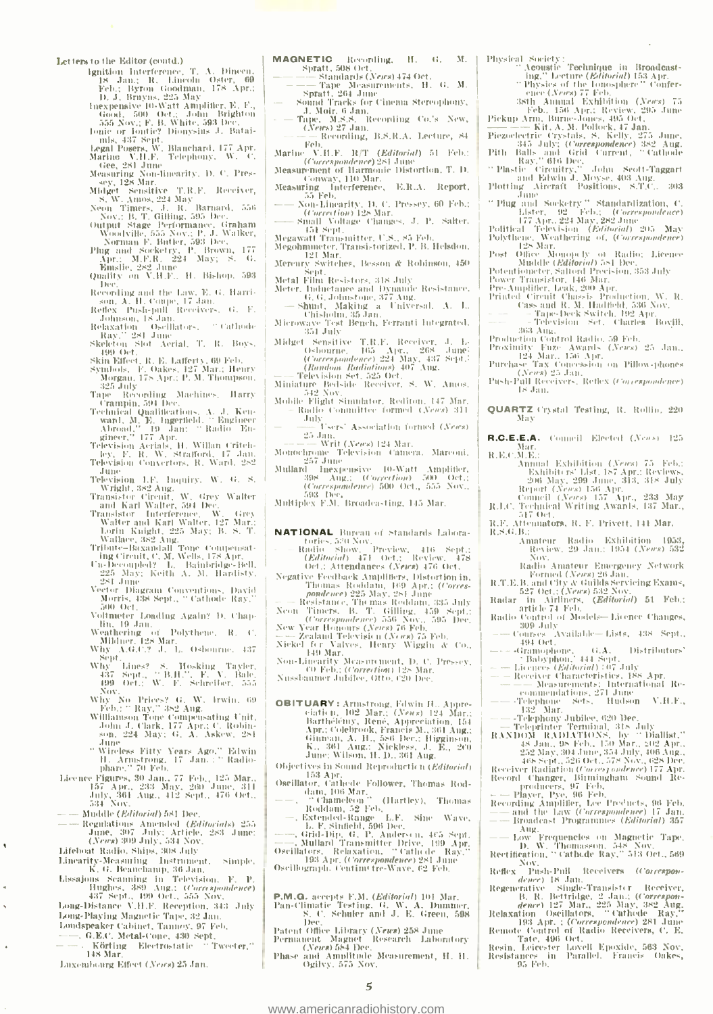Letters to the Editor (contd.)

- is to the Editor (contd.)<br>
1<br/>gnition Interference, T. A. Dineen, B. Jan, R. Lincoln 19ster, 690<br>
18<br/>Jeb, Byron Goodman, 178 Apr.; D. J. Brnyns, 225 May 1<br/>inspective 10-Wart Amplifier, E. F., Good, 500 Oct $\pm$ J
- 
- 
- 
- 
- 
- 
- 
- Dee
- Dec.<br>
Recording and the Law, E. G. Harrison, A. H. Coupe, 17 Jan.<br>
Reflex Push-pull Receivers. G. F.<br>
Johnson, IS Jan.<br>
Relaxation Oscillators. Teathode<br>
Relaxation Oscillators. Teathode<br>
Shark. 281 June
- 
- Skeleton Slot Aerial, T. R. Boys. 199 Oct.
- rou Oct.<br>Symbols, P. Oakes, 127 Mar.; Henry<br>Symbols, P. Oakes, 127 Mar.; Henry<br>Morgan, 178 Apr.; P. M. Thompson. 325 July
- 
- 325 July<br>Tape Recording Machines, Harry<br>Crampin, 594 Dec.<br>Technical Qualifications, A. J. Kennet<br>Ward, M. B. Ingerield. (\* Engineer<br>Abroad," 19 Jan: (\* Radio Engineer," 177 Apr.<br>Television Aerials, H. Willan Critch-<br>ley, F
- 
- June
- 
- June<br>
June<br>
Television L.F. Inquiry, W. G. S.<br>
Wright, 382 Aug.<br>
Transister Circuit, W. Grey Walter<br>
Transister Interference, W. Grey<br>
Walter and Karl Walter, 127 Mar.:<br>
Lorin Kuight, 225 May: B. S. T.<br>
Unibaoc 389 Aug. B.
- 
- Form Kaught, 225 May: B. S. T.<br>Tribute-Baxandall Tone Compensation<br>Tribute-Baxandall Tone Compensation<br>In Crecoupled? L. Bainbridge-Bell.<br>The Decoupled? L. Bainbridge-Bell.<br>225 May: Neith A. M. Hardisty.<br>Naturalling
- Yeetor Diagram Conventions, David<br>Morris, 438 Sept., '' Cathode Ray.''
- 
- Morris, 438 Sept., "Cathode Ray,<br>
100 Oct,<br>
Unit, 19 Jan.<br>
Unit Dialon, "Cathode Ray", Weathering of Polythene, R. C.<br>
Mighter, 128 Mar,<br>
"Mighter, 128 Mar,<br>
"Wighter" J. D. Oshourne, 437<br>
"Wighter" Cathod Ray (1995), 2003
- Sept. 1<br>
Why Lines? S. Hosking Tayler,<br>
437 Sept., '' B.H.'', F. V. Bale,<br>
499 Oct.: W. F. Schreiber, 555 Nov
- 
- Nov. Vol. Prices? G. W. Irwin. 69<br>Feb.: " Ray," 382 Aug.<br>Williamson Tone Compousating Unit, Williamson Tone Compousating Unit,<br>John J. Clark, 177 Apr.: C. Robin-son, 224 May: G. A. Askew, 281 June
- " Wireless Fitty Years Ago," Edwin<br>H. Armstrong, 17 Jan. : " Radio-phare," 70 Feb.
- pages, 30 Jan., 77 Feb., 125 Mar., 157 Apr., 233 May., 260 Jan., 77 Feb., 125 Mar., 157 Apr., 233 May., 260 Jan., 311 July, 361 Aug., 412 Sept., 476 Oct.,
- Muddle (Editorial) 581 Dec
- Regulations Amended (Editorials) 255<br>June, 307 July: Article, 283 June:<br>(Nears) 309 July: 534 Nov.
- 
- Georg and any, and any<br>Lifeboat Radio, Ships, 308 July<br>Linearity-Measuring Instrument. Simple, K. G. Beauchamp, 36 Jan.<br>Lissajos Scaming in Television. F. P.<br>Hughes, 389 Aug.; (Correspondence)<br>Long-Distance V.H.F. Rece
- 
- Long-Playing Magnetic Tape, 32 Jan.
- Loudspeaker Cabinet, Tannoy, 97 Feb.
- , G.E.C. Metal-Cone, 430 Sept. Körting Electrostatic "Tweeter,"
- 148 Mar
- Luxembourg Effect (Neies) 25 Jan.
- $M$ .
- **MAGNETIC** Recording.<br>
Spratt, 508 Oct.<br>
 Tape Mandards (News) 474 Oct.<br>
 Standards (News) 474 Oct.<br>
Spratt, 264 June<br>
Spratt, 264 June
- Sound Tracks for Cinema Stereophony,
- sound Tracks for Chemia Stereophony,<br>Tape, M.S.S. Recording Co.'s New,<br>Chers 27 Jan.<br>— Recording, B.S.R.A. Lecture, 84
	- Feb.
- Marine V.H.F. R/T (*Editorial*) 51 Feb.:<br>(Correspondence) 281 June<br>Measurement of Harmonic Distortion, T. D.
- Newsur-ment or trainformly Distortion, T. D.<br>Conway, 110 Mar.<br>Measuring Thterference, E.R.A. Report, 55 Feb.
- Sol Pen,<br>Nou-Linearity, D. C. Pressey, 60 Feb.;<br>(Correction) 128 Mar.<br>Small Voltage Changes, J. P. Salter.
- 
- Megawatt Transmitter, U.S., 85 Feb.<br>Megawatt Transmitter, U.S., 85 Feb.<br>Megohmmeter, Transistorized, P. B. Helsdon,
- 121 Mar.<br>Mercury Switches, Besson & Robinson, 450 Sent.
- 
- Sept.<br>
Metal Film Resistors, 348 July<br>
Meter, Inductance and Dynamic Resistance,<br>
G. G. Johnstone, 377 Aug.<br>
 Shurt, Making a Universal, A. L.<br>
Unisholm, 35 Jan.<br>
Microwave Test Bench, Ferranti Integrated,<br>
Microwave Test
	-
- 351 July
- Midget Sensitive T.R.F. Receiver, J. L.<br>
Oslourne, 165 Apr., 268 June<br>
(Correspondence) 224 May, 437 Sept.)<br>
(Random Radiations) 407 Aug.<br>
 Television Set. 525 Oct.<br>
 William St. 525 Oct.
- recession set, also over, s. W. Amos.<br>Miniature Bedside Receiver, s. W. Amos.<br>Mobile Flight Simulator, Rediton, 147 Mar.<br>— Radio Contuilttee formed (*News*) 311
- July
- Users' Association formed (News)  $\frac{25 \text{ Jan.}}{100 \text{ N} \cdot \text{J} \cdot \text{J} \cdot \text{J} \cdot \text{J}}$  Writ (*News*) 124 Mar.
- Monochrome Television Camera, Marconi,<br>257 June
- d Inexpensive 10-Watt Amplitier,<br>398 Aug.: (Correction) 500 Oct.; Mullard (Correspondence) 500 Oct., 555 Nov., 593 Dec.
- Multiplex F.M. Broadcasting, 145 Mar.
- NATIONAL Bureau of Standards Labora-
- **TONAL** Bureau or Standards and Radio Show, Preview, 416 Sept<br>Radio Show, Preview, 416 Sept<br>*(Editorial*) 471 Oct.; Review, 42<br>Oct.; Attendances (*Newa*) 476 Oct. 416 Sept.:
- Oct.; Attendances (News) 4.6 Oct.<br>
Negative Feedback Amplifiers, Distortion in,<br>
Themas Roddam, 169 Apr.; (Correspondence) 225 May, 281 June<br>
205 May, 281 June<br>
205 May, 281 June<br>
205 May, 281 June<br>
206 Nov., 505 Dec.<br>
200
- 
- 
- 
- Niekel for Valves), Henry Wiggin & Co., 149 Mar.<br>19 Mar. Henry Wiggin & Co., 149 Mar.<br>Non-Linearity Measurement, D. C. Pressey, Co Feb.; (Correction) 128 Mar.<br>Nussbanmer Jubilee, Otto, C20 Dec.
- **OBITUARY:** Armstrong, Fdwin H. Appreciation, 102 Mar.; (News) 124 Mar.;<br>Barthélémy, René, Appreciation, 154 narmoneny, aren'ny Apperoach (ny 1941)<br>Chiman, A. H., 586 Dec.: Higginson, K., 361 Aug.:<br>Apperoach (ny 1950)<br>June: Wilson, H. D., 361 Aug.
- Objectives in Sound Reproduction  $\left( {\it Edition} \right)$ Objectives an example:<br>
153 Apr.<br>
Oscillator, Cathede Follower, Thomas Rod-<br>
dam, 106 Mar.<br>  $\alpha$  to thomas (Hartley), Thomas
	-
- 
- 
- 
- am, 108 Mar.<br>
 Chameleon " (Hartley), Thomas<br>
 Roddam, 52 Feb.<br>
 Extended-Range L.F. Sine Wave,<br>
 L.F. Sinfield, 596 Dec.<br>
-- Grid-Dip, G. P. Anders on, 465 Sept.<br>
--- Mullard Transmitter Drive, 199 Apr.<br>
Oscillaters,
- 
- P.M.G. accepts F.M. (Editorial) 101 Mar.<br>Pan-Climatic Testing, G. W. A. Dummer,<br>S. C. Schuler and J. E. Green, 598  $1800$
- 
- Dec. (Servey (News) 258 June<br>Permanent Magnet Research Laboratory<br>Coeres 584 Dec.<br>Phase and Amplitude Measurement, H. H.<br>Ogilvy, 575 Nov.

 $\leq$ www.americanradiohistory.com

- - -
	-
- 
- 
- 
- $\begin{tabular}{l|c|c|c} \hline \textbf{Physical Society:} & \textbf{Nondeast} \\\hline \textbf{in}, \textbf{Nooustic} & \textbf{Technique in Broadeast} \\\hline \textbf{in}, \textbf{S: } \textbf{a} \textbf{the long.} & \textbf{Nondeast} \\\hline \textbf{in}, \textbf{non} & \textbf{Nonline} \\\hline \textbf{in}, \textbf{non} & \textbf{non} & \textbf{non} \\ \textbf{in}, \textbf{non} & \textbf{non} & \textbf{non} \\ \textbf{in}, \textbf{non} & \textbf{non} & \textbf{non} \\ \textbf{Pickup,$ Jame
- Thornia Aircraft Positions, 8.13%, 303<br>
"Plug and Socketry" Standardization, C.<br>
Lister, 92 Feb. Correspondence)<br>
177 Apr., 224 May, 282 June<br>
Political Television (Editorial) 205 May<br>
Polythene, Weathering of, Corresponde
- 
- 
- 
- 
- 

May

Mar.

Courses

-Telephone<br>| 132 Mar.

R E CALE

R.S.G.B.

- 
- 
- 
- 
- and Saltan Set, Charles Boyli,<br>
Production Control Radio, 59 Feb.<br>
Proximity Fize Awards (*Xeres*) 25 Jan.,<br>
124 Mar., 156 Apr. (*Xeres*) 25 Jan.,<br>
Purchase Tax Concession on Pillow-phones<br>
0... (*Xeres*) 25 Jan., and the Push-Pull Receivers, Retlex (Correspondence)
- 18 Jan. QUARTZ Crystal Testing, R. Rollin, 220

R.C.E.E.A. Conneil Elected (Vegas) 125

R.E.C.M.E.: Annual Exhibition (*News*) 75 Feb.:<br>
- Exhibiters' List, 187 Apr.: Reviews,<br>
- 206 May, 299 June, 313, 318 July<br>
- Report (*News*) 156 Apr.<br>
- Report (*News*) 157 Apr., 233 Mar.<br>
- L.E.C. Technical (*News*) 157

R.F. Attenuators, R. F. Privett, 141 Mar.

Amateur Radio Exhibition 1953,<br>Review, 29 Jan.: 1954 (News) 532

Nov. Radio Amateur Emergency Network

SOR July<br>Courses Available—Lists, 438 Sept., 494 Oct.

494 Oct,  $G(A, \ldots)$  Distributors'<br>
(Gramophone,  $G(A, \ldots)$  Babyphon,  $\ddot{G}$  Liences (*Baltorial*) (O<sub>4</sub> July Receiver Characteristics, 188 Apr.<br>  $\begin{array}{r} \text{Niemannian} \\ \text{nonmodations, 271 June} \\ \text{10012} \end{array}$  Alternational Recommendations

 $\begin{tabular}{ll} \bf -= \bf - Telephone & Sets, Hudson & V.H.F., \\ \bf -= \bf - Telephone & sites, Hulson & V.H.F., \\ \bf -= \bf - Telephony \text{ Jubilee, (320 Dec. }\\ \bf - Telephony \text{ Jub1e7DNS, by ``Diallist.'}\\ \bf RANDOM RAD1TDNS, by ``Diallist.'\\ \bf - 48\text{ Jau, } 98\text{ Feb., } 150\text{ Msr, } 202\text{ Apr. }\\ \bf 252\text{ May, } 304\text{ June, } 354\text{ July, } 406\text{ Aug. }\\ \bf Receiver Radiation ($ 

Broadcast Programmes (Editorial) 357

 $\begin{tabular}{ll} Reetification, ``Cathode Ray, ``513~0e),&\hbox{Now}\\ Reeflex & Pnsh-Pnll & Receivers & (Corresponded \\ demve & Pnsh-Pnll & Receiver,\\ Regenerate & Single-Transistr & Receiver,\\ B. R. Bettridge, 2. Jan., (Corresponded) \\ debarro & 127~Min., 225~Min., 226~May, ``882~Aug, ``1898, ``1899, ``1899, ``1899, ``1899, ``1899, ``1899, ``1899, ``1899, ``1899, ``1899, ``1899, ``1899, ``1899, ``189$ 

Resistances in Parallel. Francis Oakes,<br>95 Feb.

Fauto Antartur Entergency Network<br>
R.T.E.B. and City & Guilds Servicing Exams,<br>
R.T.E.B. and City & Guilds Servicing Exams,<br>
527 Oct.: (Nees, 532 Nov.<br>
Radar – in Airliners, (Editorial) 51 Feb.;<br>
article 74 Feb.<br>
Radio Con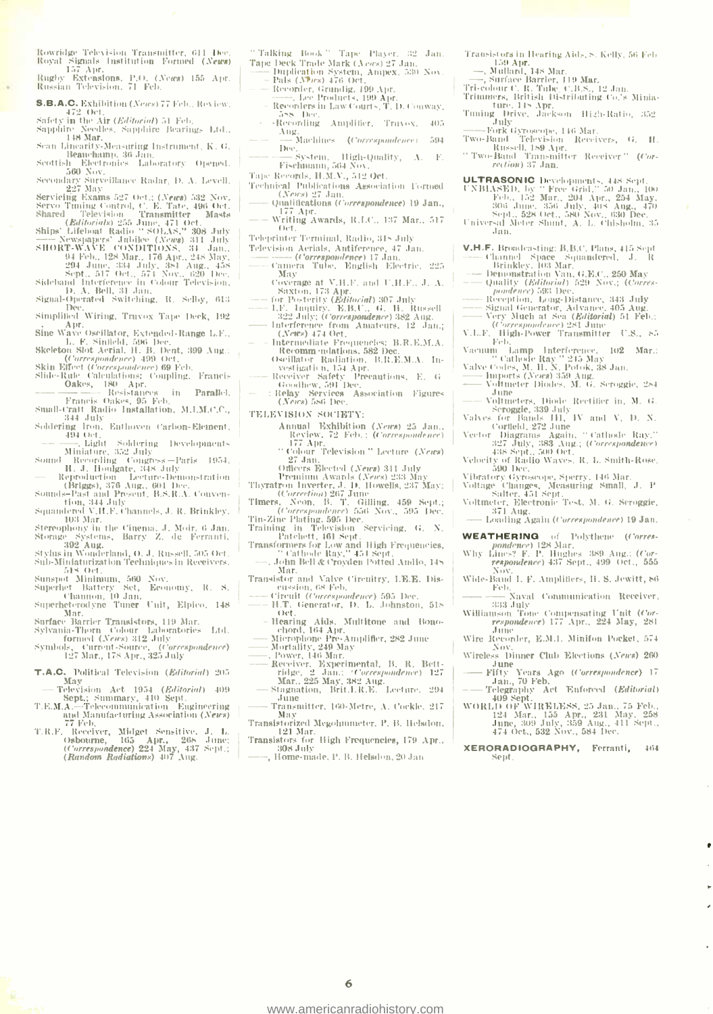$\begin{tabular}{ll} Rowridge: Television: Transmitter, 611: Dec. Royal: Signals: Institution: Formed (News)\\ 157: Apr,\\ Rugby: Extensions, P.O. (News) 155: Apr. \\ Russian Television, 71: Feb. \end{tabular}$ 

- 
- S.B.A.C. Exhibition (News) 77 Feb., Review,
- **S.B.A.C.** Exhibition (*Neuss*) 77 Feb., Review,<br>Safety in the Air *(Editorial*) 51 Feb.<br>Sappline Needles, Sappline Bearings Ltd.,<br>148 Mar.<br>Sean Linearity-Measuring Instrument, K. G.
- Beauchainp. 36 Jan.<br>h Electronics Laboratory Opened.
- Scottish<sup>17</sup>  $\begin{tabular}{ll} Section 1.560 Nov. & Example 1.500 Nov. \\ 560 Nov. & Example 1.500 Nov. \\ \textcolor{red}{Secondary} Storevillance Radar, D. A. Level, \\ & Example 5.97 Oct. (Neus) 532 Nov. \\ \end{tabular}$
- 
- Servicing Exams 527 Oct.; (News) 532 Nov.<br>Servo Tuning Control, C. E. Tate, 496 Oct.<br>Shared Television Transmitter Mastosen (Editorials) 255 June, 471 Oct.<br>Ships (idébout Radio) "SOLAS," 308 July Newspapers' Jubil
- 
- -
- 
- Dee, Simplified Wiring, Truvox Tape Deck, 192
- 
- Simplified Wiring, Truvox Tape Deck, 192<br>
Sine Wave Oscillator, Extended-Range L.F.,<br>
L. F. Sinfield, 556 Dec.<br>
L. F. Sinfield, 90 Oct.<br>
(Correspondence) 499 Oct.<br>
Side-Rue Catentricions: Compling. Francis<br>
Side-Rue Catent
- 
- Cakes, 180 Apr.<br>
 Resistances in Parallel,<br>
Francis Packes, 95 Feb.<br>
 Francis Pakes, 95 Feb.<br>
 Francis Packes, 95 Feb.<br>
 Francis Packet Radio Installation, M.LM.C.C.,
- 
- Soldering Iron, Enthoven Carlon-Element,<br>494 Oct, Enthoven Carlon-Element,<br>494 Oct,
- 
- 
- 
- $\begin{tabular}{l} $\longrightarrow$ & \bf 494\,\,0e1,\\ $\longrightarrow$ & Jight & Soldering & Development-\\ \hline \textbf{Minulative, 352\,\,July} \\ \textbf{Sumd} & \textbf{Recorling} & \textbf{Congress} Paris & 1954,\\ $\longrightarrow$ & Reprodutered (A) & \textbf{Retrule} \textbf{Dernonstration} \\ \textbf{Briggs), 376\,\,Aug., 601\,\,Dec.}\\ \textbf{Sounds=Padt} \textbf{Present, B.S.R.A.} \textbf{Conven-} \\ \textbf{Sum, 344\,\,July} \\ \textbf{Squareed V.I.F.} \textbf{Channels,$
- Squamered States, Chamers, J. N. Dernacy, 193<br>
103 Mar.<br>
Stereophony in the Cinema, J. Moir, 6 Jan.<br>
Sterage Systems, Barry Z. de Ferranti,<br>
stylus in Wonderland, O. J. Russell, 505 Oct.<br>
Sub-Miniaturization Techniques in
- 
- 
- 
- Sub-allmaturization (eeninques)in Receivers,<br>
Sinspot Minimum, 560 Nov.<br>
Superhe Battery Set, Beonomy, R. S.<br>
Channon, 10 Jan.<br>
Superheterodyne Tuner Unit, Elpico, 148<br>
Marchard Marchine Unit, Elpico, 148
- Mar. Surface Barrier Transistors, 119 Mar.
- 
- surface partier ignations, the and<br>Sylvania-Thorn Colour Laboratories Ltd.<br>formed (*News*) 312 July<br>Symbols, Current-Source, *(Correspondence*)<br>127 Mar., 178 Apr., 325 July
- T.A.C. Political Television (Editorial) 205
- May Star (Editorial)<br>Sept., Summary, 410 Sept.<br>T.E.M.A.—Telecommunication Engineering<br>T.E.M.A.—Telecommunication Engineering<br>and Manufacturing Association (News)
- 77 Feb.
- T.R.F. Receiver, Midget Sensitive, J. L.<br>Osbourne, 165 Apr., 268 June;<br>Correspondence 224 May, 437 Sept.;<br>(Random Radiations) 407 Aug.
- 'Talking Book '' Tape Player, 32 Jan. "Talking 1606k = 14pe - rayer, 52 - Jon.<br>
Tape Deck Trade Mark (A*ercs*) 27 Jan.<br>
- Duplication System, Ampex, 530 Nov.<br>
- Pals (*News*) 476 Oct.<br>
- Recorder, Grundig, 199 Apr.<br>
- Recorders in Law Courts, T. D. Conway.<br>
-
- -
	-
	- $-10\alpha$ -Recording Amplifier, Truvox, 405
- Ang.<br>---- Machines (Correspondence) 594
- Deel<br>System, High-U<br>Fischmann, 564 Nov. High-Quality,  $\Lambda$ . F.
- 
- Tape Records, H.M.V., 512 Oct.
- Technical Publications Association Formed<br>(News) 27 Jan. Qualifications (Correspondence) 19 Jan.,
- 177 Apr.<br>Writing Awards, R.L.C., 137 Mar., 517 Oct.
- Teleprinter Terminal, Radio, 318 July
- 
- Television Acrials, Antiference, 47 Jan.<br>
—— Correspondence) 17 Jan.<br>
—— Camera Tube, English Electric, 225 May
- Coverage at V.H.F. and U.H.F., J. A.
- 
- Coverage at V.H.F., and U.H.F., J. A. (Severage at V.H.F., and U.H.F., J. A. (or Posterity (*Editorial*) 307 July<br>172 Apr. (or Posterity (*Editorial*) 307 July<br>1. Hussell<br>1822 July; (Correspondence) 382 Aug.<br>10erference f
- Intermediate Frequencies: B.R.E.M.A.<br>Recomm mdations, 582 Dec.<br>Oscillator Radiation, B.R.E.M.A. Investigation, 15.R.E.M.A.<br>vestigation, 15.4 Apr.<br>Receiver Safety Precautions, E. G<br>cooldew, 591 Dec.<br>(Relay Services Associat
- 
- 
- TELEVISION SOCIETY:
	- Annual Exhibition (News) 25 Jan.,<br>Review, 72 Feb.: *Correspondence*)<br>177 Apr.
		- "Colour Television" Lecture (News)
		-
		-
- 
- 
- 
- Colour Television " Lecture (News) 27 Jan.<br>27 Jan. (News) 233 May Premium Awards (News) 233 May Premium Awards (News) 233 May;<br>Thyratron Inverter, J. D. Howells, 237 May;<br>(Correction) 267 June (Correction) 267 June (Corr
- Mar. Transistor and Valve Circuitry, LE.E. Dis-
- enssion, 68 Feb.<br>Circuit (Carrespondence) 595 Dec. H.T. Generator, D. L. Johnston, 518
- 
- 
- 
- Oct.<br>
Hearing Aids, Multitone and Bono-<br>
Hearing Aids, Multitone and Bono-<br>
ohord, 164 Apr.<br>
Microphone Pre-Amplifier, 282 June<br>
Mortality, 249 May<br>
Power, 146 Mar.<br>
Pige, 2 Jan.: 'Correspondence) 127<br>
Mar., 225 May, 382 A
- June Transmitter, 160-Metre, A. Cockle, 217
- May
- any<br>Transistorized Megoliumieter, P. B. Helsdon,<br>121 Mar.<br>Transistors for High Frequencies, 179 Apr.,<br>308 July

6 www.americanradiohistory.com

Home-made, P. B. Helsdon, 20 Jan

- Transistors in Hearing Aids, S. Kelly, 56 Feb.
- 
- 
- Transistors in Hearting Aids, S. Kelly, 56 Feb<br>
—, Mullard, 148 Mar.<br>
—, Mullard, 148 Mar.<br>
—, Surface Barrier, 119 Mar.<br>
Tri-colour C. R. Tube, C.B.S., 12 Jan.<br>
Trimmers, British Distributing Co.'s Minia-<br>
ture, 118 Apr.<br>
- .<br>July
- 
- $\begin{tabular}{ c | c} \hline \textbf{July} & Jub \\ \hline \textbf{Fock Cytoseope, 146 Mar.} \\ \hline Two-Band Thelexision & Recvivers, G. H. \\ \hline Kuseell, 189 Apr. \\ ``Two-Band & Transmitter & Receiver '' (Cor- *rection*) 37 Jan. \\ \hline \end{tabular}$
- -
- **ULTRASONIC** Developments, 448 Sept. UNBIASED, by '' Free Grid,'' 50 Jam., 100<br>Feb., 152 Mar., 204 Apr., 254 May.<br>306 Jame. 356 July, 469 May.<br>8ept., 528 Oct., 580 Nov., 630 Dec.<br>Universal Meter Shunt, A. L. Chisholm, 35 Jan-
- 
- 
- 
- 
- *pondence*) 548 Dec,<br>Reception, Leng-Distance, 343 July<br>Signal Generator, Advance, 405 Aug.<br>Very Much at Sea (Editorial) 54 Feb.;<br>(Correspondence) 284 June<br>F. Ed., High-Power Transmitter U.S., 85
- 
- $(Correspondence)$  284 June<br>
V.L.F. High-Power Transmitter U.<br>
Vacuum Lamp Interference, 102<br>
"Cathode Ray" 245 May<br>
"Cathode Ray" 245 May<br>
Nalve Codes, M. H. N. Potok, 38 Jan.<br>
"Imports (Newer) 359 Aug.<br>
"Litters Islang. M. G. Sera  $102$  Mar.:
- 
- Voltmeter Diodes, M. G. Scroggic, 284 June
- June<br>Coltmeters, Diode Rectifier in, M. G. Scroggie, 339 July<br>Cor Bands III, IV and V, D. N. Cortleld, 272 June Valves for
- 
- Cortleld, 272 June<br>
Vector Diagrams Again, "Cathode Ray,"<br>
327 July, 383 Aug.; (Correspondence)<br>
438 Sept., 500 Oct.<br>
Velocity of Radio Waves, R. L. Smith-Rose,<br>
Michael Georges, Measuring Small, J. P<br>
Salter, 451 Sept.<br>
V
- 
- 
- 
- Loading Again (Correspondence) 19 Jan.

**WEATHERING** or Torythene Correst<br>Why *Emerger* 128 Mar,<br>Why *Emerger* F. P. Hughes 389 Aug.: (Correspondence) 437 Sept., 499 Oct., 555

Wide-Band I, F. Amplifiers, H. S. Jewitt, 86

Wire Recorder, E.M.1. Minifon Pocket, 574 Nov.<br>Wireless Dinner Club Elections (News) 260

XERORADIOGRAPHY, Ferranti, 464

Fifty Years Ago (Correspondence) 17<br>
Fifty Years Ago (Correspondence) 17<br>
Telegraphy Act Enforced (Editorial)

Naval Communication Receiver.

of Polythene (Corres-

**WEATHERING** 

Nóv

Feb

June

Sept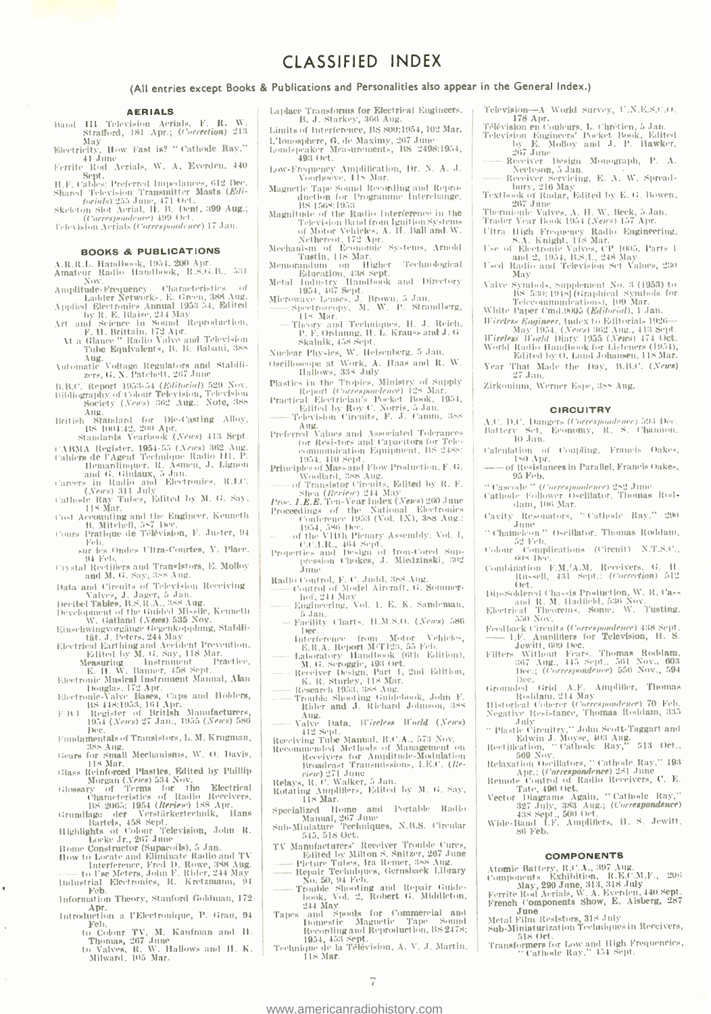(All entries except Books & Publications and Personalities also appear in the General Index.)

#### **AERIALS**

- Band III Television Aerials, F. R. W.<br>Strafford, 181 Apr.; (Correction) 213 May
- How Fast is? "Cathode Ray," Electricity Ferrite Rod Aerials, W. A. Everden, 440
- Ferrite Sept. Actions, W. A. 2003000 OS<br>H.F. Cables: Preferred Impedances, 612 Dec
- rr.r., Cames: rreterent imperances, 912 (9e).<br>Shared "Pelevision Transmitter Masts (*Editorials*) 255 June, 471 Oct.<br>Skeleton Slot Aerial, H. B. Dent, 399 Aug.;<br>(Correspondence) 499 Oct.
- 
- Television Aerials (Correspondence) 17 Jan.

#### **BOOKS & PUBLICATIONS**

- **BOOKS & PUBLICATIONS**<br>
A.R.R.L. Hambook, 1954, 200 Apr.<br>
Amateur Radio Hamdbook, R.S.G.B., 531<br>
Nov.<br>
Nov.<br>
Amplitude-Frequency Characteristics of<br>
Ladier Networks, E. Green, 388 Aug.<br>
Applied Electronics Ammal 1955 54, E
- 
- 
- 
- 
- Aug.<br>atie Voltage Regulators and Stabili-<br>zers, G. N. Patchett, 267 June Automatic
- B.B.C. Report 1953-54 *(Editorial)* 529 Nov.<br>Bibliography of Colour Television, Television<br>Society *(News)* 362 Aug.: Note, 388
- Ang, Richard for Die-Casting Alloy, British Standard for Die-Casting Alloy, Bs luu4:42, 200 Apr.
- 
- 
- Standards Acarbook (*News*) 413 Sept.<br>
CABMA Register, 1954-55 (*News*) 362 Aug.<br>
Cabiers de l'Agent Technique Radio H1, P.<br>
Henardinquer, R. Asmen, J. Lignon<br>
and G. Giniaux, 5 Jan.<br>
Careers in Radio and Electronics, R.I
- 
- 
- 118 Mar, 118 Mar, 118 Mar, 118 Mitchell, 587 Dec, 118 Mitchell, 587 Dec, 11911 Participal Course Pratique de Télévision, F. Juster, 94
- s rangue us reservants rangesty et<br>| Feb.<br>|sur||les||Ondes||Ultra-Conrtes, Y. Place. 94 Feb.
- Urystal Rectifiers and Transistors, E. Molloy<br>and M. G. Say, 388 Aug.
- and M, G. Say, 388 Aug.<br>Data and Crientis of Tebevision Receiving<br>Valves, J. Jager, 5 Jan.<br>Decided Tables, B.S.R.A., 388 Aug.<br>Development of the Guided Missile, Kenneth<br>W. Gattand (Asses) 535 Nov.<br>Einschriftgavergänge Gene
- 
- 
- 
- 
- 
- $[131.4], \text{Peters, 244 May}\label{Elet}$  Electrical Earthing and Accident Prevention, Edited by M. G. Say, 118 Mar. Measuring Instrument Practice, E. H. W. Banner, 458 Sept.<br>Electronic Musical Instrument Manual, Alan Douglas, 172 Apr.
- Finidamentals of Transistors, L. M. Krugman,
- 
- 
- Fundamentals of Transistors, L. M. Krugman, Teams, S. M. Krugman, Gass Mug. 118 Mar.<br>
The form of the Shall Mechanisms, W. O. Davis, 118 Mar.<br>
USS Reinforced Plastics. Edited by Phillip Morgan (News) 534 Nov.<br>
Glossary of
- 
- 
- 
- 
- Information Theory, Stanford Goldman, 172
- APT. Introduction a l'Electronique, P. Gran, 94<br>Feb.
	-
	- Feb. Colour TV, M. Kaufman and H.<br>Thomas, 267 June<br>to Valves, R. W. Hallows and H. K.<br>Milward, 105 Mar.
- Laplace Transforms for Electrical Engineers. B. J. Starkey, 366 Aug.
- Limits of Interference, BS 800:1954, 102 Mar.
- L'Ionosphere, G. de Maximy, 267 June<br>Londspeaker Measurements, 188-2498:1954, Londspe apisto)<br>193 Oct.<br>493 Oct.
- Low-Frequency Amplification, Dr. N. A. J.<br>Voorhoeve, 118 Mar.
- Magnetic Tape Sound Recording and Reproduction for Programme Interchange.<br>BS 1568:1953
- BS 1968;1953<br>Magnitude of the Radio Interference in the<br>Television Band from Lguition Systems<br>of Motor Vehicles, A. H. Ball and W.
	-
- 
- 
- % of Motor Vehicles, A. II. Ball and W.<br>
Necharot, 172 Apr.<br>
Necharot, 172 Apr.<br>
Tustin, 118 Mar.<br>
Tustin, 188 Sept.<br>
Tustin, 188 Sept.<br>
Mentandum on Higher Technological<br>
Metal Industry Handbook and Directory<br>
1954, 467
	- HS Mar.<br>Theory and Techniques, H. J. Reich.<br>P. F. Ordnung, H. L. Krauss and J. G Skalnik, 458 Sept.
- Nuclear Physics, W. Heisenberg, 5 Jan.
- Oscilloscope at Work, A. Haas and R. W. Hallows, 338 July
- 
- Flastics in the Tropies, Ministry of Supply<br>Reaction in the Tropies, Ministry of Supply<br>Report *(Correspondence*) 128 Mar.<br>Practical Electrician's Pocket Book, 1954,<br>Edited by Roy C. Norris, 5 Jan.<br>—— Television Circuits,
- Aug.<br>red Values and Associated Tolerances Preferred for Resistors and Capacitors for Tele-<br>communication Equipment, BS 2488;
- 1954, 410 Sept. (1974) and Flow Production, F. G.
- 
- Principles of Mass and Flow Production, r. G.<br>
——of Transistor Circuits, Edited by R. F.<br>
——of Transistor Circuits, Edited by R. F.<br>
——of Transistor Circuits, Edited by R. F.<br>
Proc. LE.E. Ten-Vear Index (News) 260 June<br>
Pr 1954, 586 Dec.<br>f the VIIth Plenary Assembly, Vol. 1,
- of the C.C.I.R., 464 Sept.<br>Properties and Design of Iron-Cored Sup-
- pression Chokes, J. Miedzinski, 302<br>June
- 
- 
- 5 Jan. Facility Charts, H.M.S.O. (News) 586
- Tiee.
- 
- 
- Dec. Herference from Motor Vehicles, E.R.A. Report M/T123, 55 Feb. Laboratory Handbook (6th Edition), M. G. Scroggic, 493 Oct. Research 1953, 388 Aug. Research 1953, 388 Aug. Tenuble Shown The Mark Theorem and J. Richard J
- 
- Richard Johnson, 388<br>
 Valye Data, Wieless World (News)<br>
412 Sept.<br>
 Valye Data, Wieless World (News)<br>
Recciving Tube Manual, R.C.A., 573 Nov.<br>
Recommended Methods of Management on<br>
Recorders for Amplitude-Modulation<br>
Br
	-
- 
- specialized Home and Portable Radio<br>Manual, 267 June<br>Sub-Miniature Techniques, N.B.S. Circular<br>545, 518 Oct.
- 
- 
- 545, 518 Oct.<br>TV Manufacturers' Receiver Trouble Cures,<br>Edited by Milton S. Snitzer, 267 June<br>—Picture Tubes, Ira Remer, 388 Aug.<br>—Repair Techniques, Gernsback Library<br>——Repair Techniques, Gernsback Library<br>——Trouble Shoot
- 244 May<br>books for Commercial and<br>Domestic Magnetic Tape Spund **Tapes** Domestic Magnetic Tape Sound<br>Recording and Reproduction, BS 2478;
- 1954, 453 Sept.<br>Technique de la Télévision, A. V. J. Martin.<br>118 Mar.

7

www.americanradiohistory.com

Television--A World Survey, U.N.E.S.C.O.

- Television A wordt Survey, Casakosta de Talévision en Couleurs, L. Chrétien, 5 Jan.<br>
Télévision en Couleurs, L. Chrétien, 5 Jan.<br>
Télévision Engineers' Pocket Book, Edited<br>
by E. Molloy and J. P. Hawker,<br>
267 June<br>
 Rec
- Neeteson, 5 Jan.
- Netteson, 5 Jan.<br>
Reciver Serviet, E. A. W. Spread-<br>
bury, 216 May<br>
Textbook of Radar, Edited by E. G. Bowen,<br>
267 Jane<br>
Thermionic Valves, A. H. W. Beck, 5 Jan.<br>
Trader Vear Book 1954 (*News*) 157 Apr.
- 
- 
- 
- 
- Transition For the Propincipal Research of April<br>The High Frequency Radio Engineering,<br>S.A. Knight, 118 Mar.<br>Tse of Electronic Valves, CP 1005, Parts 1<br>and 2, 1954, B.S.I., 248 May<br>Used Radio and Television Set Values, 230 May
- Valve Symbols, Supplement No. 3 (1953) to BS 530; 1948<br>(Graphical Symbols for Telecommunications), 109 Mar,
- White Paper Cmd.9005 (Editorial), 1 Jan.
- 
- $\label{thm:2} We have a higher number of different  
Birdess Engineer, Index to Editorials 1926—May 1954, (News) 362 Aug., 413 Sept. World Radio Handbook for Listeners (1954),$
- Edited by O. Lund Johansen, 118 Mar. Year That Made the Day, B.B.C. (News)
- $27$  Jan.
- Zirkonium, Werner Espe, 385 Aug.

 $180$  Mar.

 $_{\rm June}$ 

 $-60.8$  There

550 Nov.

Det.

 $13a4$ 

 $\begin{array}{c} \text{Equation,} \\ \text{Reetification,} \\ 569 \text{ Nov.} \end{array}$ 

86 Feb.

### **CIRCUITRY** A.C. D.C. Dangers (Correspondence) 593 Dec.<br>Battery Set, Economy, R. S. Channon,<br>10 Jan.

Calculation of Coupling, Francis Oakes,

" Cascode " (Correspondence) 282 June<br>Cathode Follower Oscillator, Thomas Rod-dam, 106 Mar.

Cavity Resonators, "Cathode Ray," 290

" Chamelcon " Oscillator, Thomas Roddam,

E Feb. Complications (Circuit) N.T.S.C.,

Combination F.M./A.M. Receivers, G. H.<br>Russell, 431 Sept.; (Correction) 512

Oct.<br>Dip-Soldered Chassis Production, W. R. Cass<br>and R. M. Hadfield, 536 Nov.<br>Electrical "Theorems, Some, W. Tusting.

 $\frac{5500 \text{ Nov}}{1 \text{ Teck}}$ <br>Feedlack Circuits (Correspondence) 438 Sept.<br> $\frac{1 \text{ V}}{1 \text{ Teck}}$  1.8. Jewitt, 609 Dec.<br>Filters Without Fears. Thomas Roddam,<br>Filters Without Fears. Thomas Roddam,<br> $\frac{367 \text{ Aug}}{1 \text{ Geck}}$ , 445 Sept., 5

 $\begin{tabular}{ll} Green (1) & [10] & [10] & [11] & [10] \\ \hline \end{tabular} \begin{tabular}{ll} \bf Grudland & A.F. & Amplitier, & Thomas \\ \bf Holdann, 214 May \\ \bf Metrical Colester (Correspondence) & To Feb. \\ \bf Negative \; Besistance, & Thomas & Roddam, 335 \\ \end{tabular}$ 

-- Plastic Circuitry,'' John Sco<mark>tt-Taggart an</mark>d

569 Nov.<br>
Relaxation Oscillators, '' Cathode Ray,'' 193<br>
Apr.: (Correspondence) 281 June<br>
Remote Control of Radio Receivers, C. E.<br>
Tate, 496 Oct.<br>
Vector Literation

Tate, 496 Oct.<br>Vector Diagrams Again, ''Cathode Ray,''<br>327 July, 383 Aug.; (*Correspondence*)<br>438 Sept., 500 Oct.<br>Wide-Band L.F. Amplifiers, H. S. Jewitt.

**COMPONENTS** 

Momic Battery, R.C.A., 397 Aug.<br>Components Exhibition, R.E.C.M.F., 206<br>Ferrite Eod Acrials, W. A. Everler, 440 Sept.<br>French Components Show, E. Aisterie, 287<br>Tench Components Show, E. Aisterg, 287<br>Motal Film Realetors 202

Metal Film Resistors, 318 July<br>Sub-Miniaturization Techniques in Receivers,

Sup-summatrization revining to an avertee,<br>Transformers for Low and High Frequencies,<br>"Cathode Ray," 454 Sept.

Edwin J. Moyse, 403 Aug.<br>eation, "Cathode Ray," 513 Oct.,

– of Resistances in Parallel, Francis Oakes,<br>– of Feb.<br>– 95 Feb.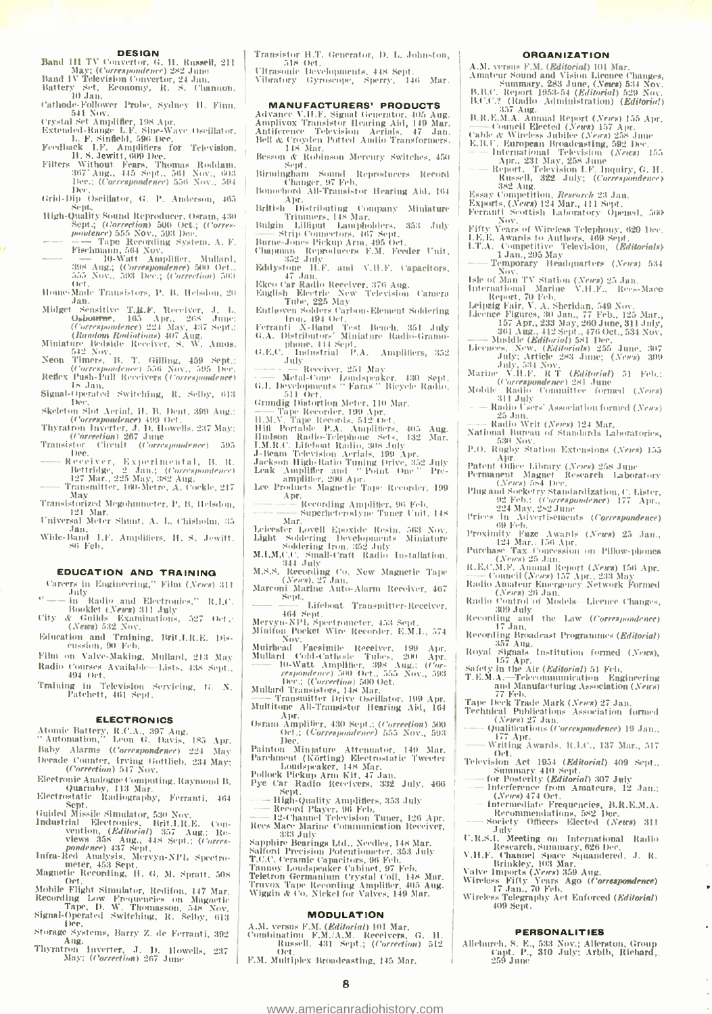#### **DESIGN**

- Band HI TV Convertor, G. H. Russell, 211<br>May: (Correspondence) 282 June<br>Band IV Television Convertor, 24 June<br>Band IV Television Convertor, 24 Jan.<br>Battery<sub>, 3</sub>44, Economy, R. S. Channon.
- Battery Set,<br>10 Jan.
- 
- 
- 
- 
- $[10\text{ Jani},\\ \text{Cathode-Pollower Probe},\text{ Sydney II},\text{ Film},\\ \text{Crystal Set Amplitude},\text{541 Now},\\ \text{Extendel-Rampe L.F. Sine-Wave Oscillator},\\ \text{Extendel-Rampe L.F. Sine-Wave Oscillator},\\ \text{Extendel-Rampe L.F. Sime-Wave Oscillator},\\ \text{Fedback L.F. Ampliters for Television},\\ \text{H.S. Jewish},\text{609 Dec},\\ \text{Fitters Wthout Fears},\text{Thomas Rodalam,}\\ \text{367 Aug.},\text{445 Sept., 561 Nov., 603 Dec.} (Correspondence)~556 Nov.,~504 Dec.}$ Dec.
- Grid-Dip Oscillator, G. P. Anderson, 465 Sont. High-Quality Sound Reproducer, Osram, 430
- Sept.; (Correction) 500 Oct.; (Corres-<br>pondence) 555 Nov., 593 Dec.
- pomagnery polo Nov., 303 Bec.<br>
 Tape Recording System, A. F.<br>
Fischmann, 564 Nov.<br>
 10-Watt Amplifier, Mullard,<br>
308 Aug.; (Correspondence) 500 Oct.,<br>
555 Nov., 593 Dec.; (Correction) 500
- Chef-Home-Made Transistors, P. B. Helsdon, 20
- Jan. Midget
- Jan. (Basilive T.B.F. Receiver, J. L. Solometre, 165 Apr., 268 June: (Correspondence) 224 May, 437 Sept.: (Correspondence) 224 May, 437 Sept.: (Redshift Receiver, S. W. Amos.
- Miniature Bedside Receiver, S. W. Amos.<br>542 Nov. B. There, B. W. Amos.<br>79. Non Timers, B. T. Gilling, 459 Sept.:<br>70. Timers, B. T. Gilling, 459 Sept.:<br>70. Correspondence) 556 Nov., 595 Dec.
- 18 Jan.
- Signal-Operated Switching, R. Selby, 613
- Signal-Operated (1992)<br>
Skeleton Slot Aerial, H. B. Dent, 399 Aug.:<br>
(Correspondence) 499 Oct.<br>
Thyratron Inverter, J. D. Howells, 237 May:<br>
(Correction) 267 June<br>
mand the Correction (Correspondence) 595
- 
- Dec.
- Dee, Fig. 18 (Partimental, B. R. Bereiver, Experimental, B. R. Bettridge, 22 Jan.; (Correspondence)<br>127 Mar., 225 May, 382 Aug. (Correspondence)<br>Transmitter, 180-Metre, A. Cockle, 217
- May
- Transistorized Megohmmeter, P. B. Helsdon,<br>121 Mar. Universal Meter Shunt, A. L. Chisholm, 35
- Jan. Wide-Band L.F. Amplifiers, H. S. Jewitt. 86 Feb.

#### EDUCATION AND TRAINING

- Careers in Engineering," Film (News) 311  $\begin{tabular}{ l | c} \hline \texttt{Careps in range}, & & & & \texttt{high} \\ \hline & & & \texttt{high} \\ \hline \texttt{w} & \texttt{in Radio and Electronics,} & \texttt{R.L.C.} \\ \hline \texttt{Booklet (Ners) 311 July} & & & \texttt{Naxinations, 527 Oct.} \\ \hline \texttt{(Nexes) 532 Nov.} & & & \texttt{P-antning} & \texttt{Brit.I.R.E. Dis.} \\ \hline \end{tabular}$
- 
- 
- Education and Training, Brit.I.R.E. Discussion, 90 Feb.
- Film on Valve-Making, Mullard, 213 May Radio Courses Available-Lists, 438 Sept., 494 Oct.
- Training in Television Servicing, ti, N.<br>Patchett, 461 Sept.

#### **ELECTRONICS**

- Atomic Battery, R.C.A., 397 Aug.<br>'' Automation,'' Leon G. Davis, 185 Apr.<br>Baby Alarms (Correspondence) 224 May
- Decade Counter, Irving Gottlieb, 234 May:<br>(Correction) 547 Nov.
- Electronic Analogue Computing, Raymond B.<br>Quarmby, 113 Mar.<br>Electrostatic Radiography, Ferranti, 464
- 
- 
- Electrostatic Radiography, Ferranti, 464<br>Guided Missile Simulator, 530 Nov.<br>Industrial Electronics, Brit.1.R.E. Convention, (Editorial) 557 Aug.: Reviews 358 Aug., 448 Sept.; (Corres-<br>Proposed 467 Six Aug., 448 Sept.; (Cor
- 
- 
- Oct, Oct, Simulator, Redifon, 147 Mar,<br>Recording Low Frequencies on Magactic<br>Tape, D. W. Thomasson, 548 Nov,<br>Signal-Operated Switching, R. Selby, 613<br>Sterage Systems Passy W. L. N. C. C. OS.
- 
- Storage Systems, Barry Z. de Ferranti, 392
- Aug. Security *L.* de Ferrant1, 392<br>Thyratron Inverter, J. D. Howells, 237<br>May: *(Correction*) 267 June
- Transistor H.T. Generator, D. L. Johnston, 518 Oct.<br>Ultrasonic Bevelopments, 448 Sept
- Vibratory Gyroscope, Sperry, 146 Mar.

#### **MANUFACTURERS' PRODUCTS**

- Maxime V.H.F. Signal Generator, 405 Aug.<br>Advance V.H.F. Signal Generator, 405 Aug.<br>Antiference Television Aerials, 47 Jan.<br>Antiference Television Aerials, 47 Jan.<br>Bell & Croyden Potted Audio Transformers. Besson & Robinson Mercury Switches, 450
- 
- Changer, 97 Feb. Reportivers Record<br>Bonochord All-Transistor Hearing Aid, 164
- Арг.
- British Distributing Company Miniature<br>Trimmers, 148 Mar.<br>Bulgin Lilliput Lampholders, 353 July<br>The Strip Connectors, 467 Sept.
- 
- 
- Burne-Jones Pickup Arm, 495 Oct,<br>Chapman Reproducers F.M. Feeder Unit,<br>352 July  $\begin{tabular}{ll} \textbf{Bddystane} & \textbf{H.F.} & \textbf{and} & \textbf{V.H.F.} & \textbf{capacitors}, \\ \textbf{47 Jan.} & \textbf{48 Jan.} \\ \textbf{Ekeo Car Radio Receiver, 376 Aug.} & \textbf{English} & \textbf{Beterite} & \textbf{New} & \textbf{Teevision} & \textbf{Ganera} \\ \textbf{English} & \textbf{Beterite} & \textbf{New} & \textbf{Teevision} & \textbf{Ganera} \\ \textbf{Dod.} & \textbf{Dod.} & \textbf{Q25 May} & \textbf{M.} & \$
- 
- 
- 
- Funce, 225 Any<br>
Funces Carlon-Element Soldering<br>
Tron, 494 Oct,<br>
Ferranti X-Band Test Bench, 351 July<br>
G.A. Distributors' Municure Radio-Gramo-<br>
phone, 444 Sept,<br>
G.E.C. Industrial P.A. Amplifiers, 352
- 
- 
- SIF Oct.<br>511 Oct.<br>Grundig Distortion Meter, 110 Mar.
- 
- 
- 
- Grundig Distortion Meter, 110 Mar.<br>
 Tape Recorder, 199 Apr.<br>
H.M.V. Tape Records, 512 Oct.<br>
Hifl Portable P.A. Amplifiers, 405 Aug.<br>
Hindson Radio-Telephone Sets, 132 Mar.<br>
L.M.R.C. Lifeboat Radio, 308 Aug.<br>
J.-Beam Tele
- 
- 
- Apr.<br>—— Recording Amplitter, 96 Feb.
- Superheterodyne Tuner Unit, 148  $M_{\rm HI}$
- Leierster Lovell Epoxide Resin, 563 Nov.<br>Light Soldering Developments Miniature<br>Soldering Fron, 552 July<br>M.I.M.C.C. Small-Craft Radio Installation.
- M.L.M.C.C. Sma
- M.S.S. Recording Co. New Magnetic Tape<br>(News), 27 Jan.<br>Marconi Marine Auto-Alarm Receiver, 467
- Sept.<br>Lifeboat Transmitter-Receiver.
- 
- 
- Lifeboat Transmitter-Receiver,<br>
464 Sept.<br>
464 Sept.<br>
Minifon Pocket Wire Recorder, E.M.I., 574<br>
Minifon Pocket Wire Recorder, E.M.I., 574<br>
Muthead Pacsimile Receiver, 199 Apr.<br>
Muthead Cold-Cathole Tubes, 200 Apr.<br>
10-Wat
	-
- Bec. (Correction) 500 Oct. 2003, and<br>Mullard Transistors, 148 Mar.<br>Transmitter Drive Oscillator, 199 Apr. Multitone All-Transistor Hearing Aid, 164
- Stuttion (\* 1980)<br>1997 Apr. (1997), Apr. (Correction 1990)<br>1998 Oct.: (Correspondence) 555 Nov., 593<br>1998 Correspondence) 555 Nov.
- Det. (Correspondence) 555 Nov., 593<br>Dec.<br>Painton Minjature Attenuator, 149 Mar.<br>Parelment (Körting) Electrostatic Tweeter<br>Doudspeaker, 148 Mar.<br>Pye Car Radio Beetivers, 382 July, 466<br>Neptian Beetivers, 382 July, 466<br>Neptia
- 
- 
- 
- Sept. High-Quality Amplifters, 353 July<br>— High-Quality Amplifters, 353 July<br>— Record Player, 96 Feb. 12-Channel Television Tuner, 126 Apr.<br>Rees Mace Marine Communication Receiver, 333 July<br>Salford Pearings Ltd., Needle
- 
- 
- 
- 

#### **MODULATION**

- A.M. versus F.M. (*Editorial*) 101 Mar.<br>Combination F.M./A.M. Receivers, G. H. Russell, 431 Sept.; (*Correction*) 512
- Oet F.M. Multiplex Broadcasting, 145 Mar.

#### **ORGANIZATION**

- 
- 
- A.M. versus F.M. (*Editorial*) 101 Mar.<br>Amateur Sound and Vision Licence Changes, Summary, 283 June, (*News*) 534 Nov.<br>B.B.C. Report 1953-54 (*Editorial*) 529 Nov.
- 
- B.B.C. Report 1953-54 (Editorial) 529 Nov. B.C.C.? (Radio Administration) (Editorial) 325 Nov. (Self. 2010) 17 Apr. Council Elected (News) 155 Apr. (Lable & Wirelessel (News) 157 Apr. Cable & Wireless Jubile (News) 258 Ju

Russen, 322 Juny, Correspondencer<br>
382 Aug.<br>
Competition, Research 23 Jan.<br>
Exports, (News) 124 Mar., 411 Sept.<br>
Ferranti Scottish Laboratory Opened, 560

Ferranti Scottish Laboratory Opened, 560<br>Fifty Years of Wireless Telephony, 620 Dec.<br>L.E.E. Awards to Authors, 469 Sept.<br>L.T.A. Competitive Television, *(Editorials*)<br>1 Jan., 205 May

Nov.<br>
Nov.<br>
Nov.<br>
Nov.<br>
Nov.<br>
Nov.<br>
Nov.<br>
Nov.<br>
Nov.<br>
Nov.<br>
Nov.<br>
Nov.<br>
Nov.<br>
Nov.<br>
Nov.<br>
Nov.<br>
Nov.<br>
Nov.<br>
Nov.<br>
Nov.<br>
Here Figures, 30 Jan., 77 Feb., 125 Mar.,<br>
157 Apr., 233 May, 260 June, 311 July,<br>
361 Aug., 412 Sept

 $\begin{tabular}{c c c c} \hline \textit{Jury: Atives} \\ \hline \textit{July: 534 X0v,} \\ \textit{Marine V.H.P. R T (Editional) -51 (Correspondence) 281 June} \\ \textit{(Correspondence) 281 June} \\ \textit{Mobile Radio Committee formed (Neres) -311 July} \\ \textit{D-kin Flaves' Association formed (Ners) \\ \end{tabular}$ 

= = Batto vers Association formed (*News*)<br>25 Jan.<br>Kadio Writ (*News*) 124 Mar.<br>Xational Bureau of Standards Laboratories,<br>530 Nov.<br>P.O. Rugby Station Extensions (*News*) 155

*P.O.* Highly Station Extensions (*News*) 155<br> **Apr.**<br> **Patent Olive Library (***News***) 258 June<br>
Permanent Magnet Research Laboratory<br>
(***News***) 584 Dec.<br>
Plug and Socketry Standardization, C. Lister,<br>**  $\frac{92}{24}$ **May, 282 J** 

Recording and the Law (Correspondence)

Tape Deck Trade Mark (News) 27 Jan.<br>Technical Publications Association formed

Oct.<br>
Television Act 1954 (*Editorial*) 409 Sept.,<br>
Television Act 1954 (*Editorial*) 409 Sept.,<br>
Summary 410 Sept.<br>
Correctly (*Editorial*) 307 July<br>
— Interference from Amateurs, 12 Jan.;<br>
(*Neus*) 474 Oct.<br>
— *Interfere* 

July 1, Meeting on International Radio<br>
1. R.S.I. Meeting on International Radio<br>
1. R.S. Channel Space Squandered, J. R.<br>
1. The Brinkley, 103 Mar.<br>
Valve Imports (*News*) 359 Aug.<br>
Wireless Fifty Years Ago (Correspondenc

**PERSONALITIES** 

Allchurch, S. E., 533 Nov.; Allerston, Group<br>Capt. P., 310 July: Arbib, Richard,<br>259 June

409 Sept.

(*News*) 27 Jan.<br>Qualifications (*Correspondence*) 19 Jan.

177 Apr.<br>Writing Awards, R.I.C., 137 Mar., 517

(*Severa*) 4.4 Oct.<br>Intermediate Frequencies, B.R.E.M.A.<br>Recommendations, 582 Dec.<br>Society Officers Elected (*Netes*) 311<br>July

309 July

Temporary Headquarters (News) 534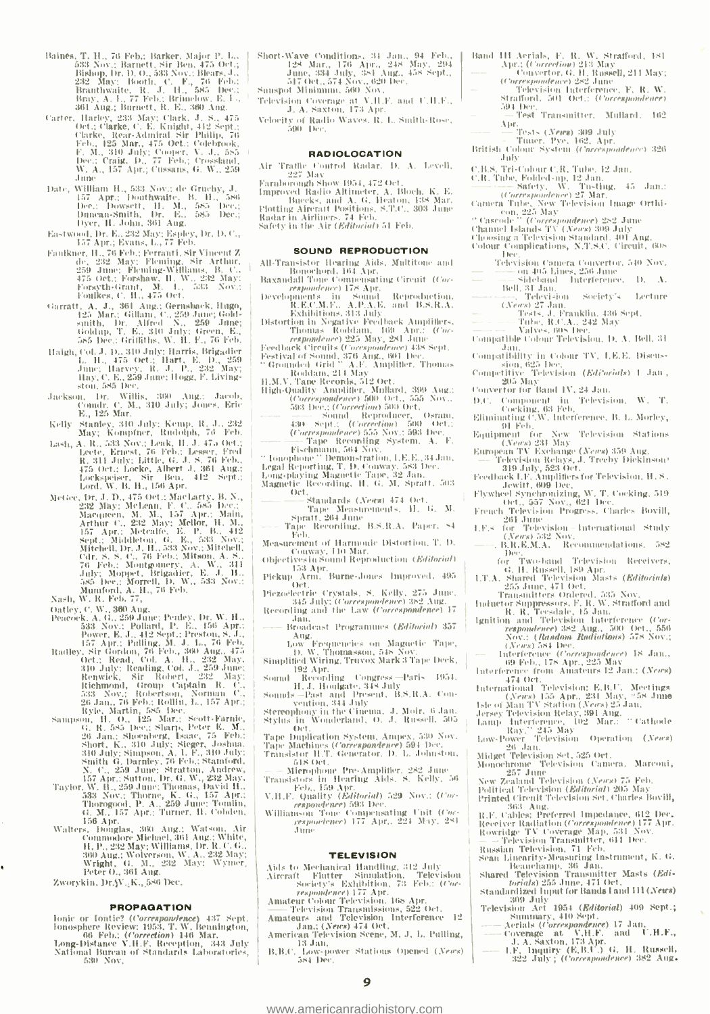- $\begin{tabular}{ll} \textbf{Baines, T, H., 76 Feb.} & \textbf{Barker, Major P, La, 533 Now, Barnett, Sir Ben, 475 Oct., 18bhop, Dr. D. 533 Nov., BlersJ., 122-232 May, Boort, C. F., 76 Feb. & \textbf{Branthwick}, L. H., 585 Deer. & \textbf{Brankhwick}, F. J. H., 585 Deer. & \textbf{361 Aug.; Bmrett, R. E., 360 Aug. & \textbf{5.189} & \textbf{6.19} & \textbf{7.10} & \textbf{8.10} & \textbf{8.10} & \$
- 361 Aug.; Burnett, R. E., 360 Aug.<br>Carter, Harley, 233 May. Clark, J. S., 475<br>Oct.; Clarke, C. E. Knight, 442 Sept.;<br>Clarke, Rear-Admiral Sir Philip, 76<br>Feb., 425 Mar., 475 Oct.; Colebrook,<br>F. M., 330 July; Cooter, V. J. 5 June
- Date, William H., 533 Nov.; de Grueby, J.<br>
157 Apr.; Douthwaite, B. H., 586<br>
Dec.; Dowsett, H. M., 585 Dec.;<br>
Dumean-Smith, Dr. E., 585 Dec.;<br>
Dyer, H. John, 361 Aug.
- Eastwood, Dr. E., 232 May; Espley, Dr. D. C.,<br>157 Apr.; Evans, L., 77 Feb.
- Fauther, H., To Feb., Fauther, H., To Feb.<br>de, 232 May: Fleming, Sir Arthur, 259 June: Fleming-Williams, B. C.,<br>475 Oct.: Forshaw, H. W. 232 May:<br>Foreyth-Grant, J. W., 232 May:<br>Forsyth-Grant, J. H., 533 Nov.:<br>Foulkes, C.
- Fourage, C. 11, 475 OCT.<br>Garratt, A. J., 361 Aug., Gernshack, Hugo, 425 Mar., Gillam, C., 259 June; Gold-<br>smith, Dr. Alfred N. 259 June; Gold-<br>tololup, T. E., 310 July; Green, E.,<br>585 Dec.; Griffiths, W. H. F., 76 Feb.
- more area, victimities, w. H. F., 60 Feb.<br>
(Col. J. D., 310 July: Harris, Brigadier<br>
June: Harvey, R. J. P., 239 May;<br>
Harv. C. E. 259 June: Hogg, F. Living-<br>
Hay, C. E., 259 June: Hogg, F. Living-<br>
stou, 585 Dec.
- Jackson, Dr. Willis, 360 Aug.: Jacob,<br>Condr. C. M., 310 July; Jones, Eric E., 125 Mar.
- Kelly Stanley, 310 July: Kemp, R. J., 232<br>May: Kompiner, Rudolph, 76 Feb.
- aash, A. R., 533 Nov.; Leak, H. J., 475 Oct.;<br>Leete, Ernest, 76 Feb.; Leaser, Fred<br>R., 311 July: Little, G. J. S., 76 Feb.;<br>475 Oct.; Locke, Albert J., 361 Aug.;<br>Lockspeiser, Sir (Ben., 442) Sept.;<br>Lockspeiser, Sir (Ben.,
- Lord, W. B. H., 156 Apr.<br>
Medie, Dr. J. D., 475 Oct.; Macharty, B. N., 232 May: Melaam, F. C., 585 Dec.; Macharty, M. M., 157 Apr.; Main, Arthur C., 232 May: Mellor, H. M.<br>
Macharte, M. M., 157 Apr.; Metcalfe, E. P. B., 4

- Manford, A. H., 76 Feb.<br>
Xash, W. R. Feb.<br>
Xash, W. R. Feb.<br>
Oatley, C. W., 360 Aug.<br>
Peacock, A. (i., 256 June; Pentey, Dr. W. H., 268<br>
283 Nov.; Pollard, P. F. E., 156 Apr.; 1987<br>
177 Preston, S. J., 16 Feb.<br>
187 Npr.;
- 
- 
- 
- 

Zworykin, Dr.W., K., 586 Dec.

#### **PROPAGATION**

Ionic or Ionic? (Correspondence) 437 Sept.<br>
Ionosphere Review: 1953, T. W. Bennington, 66 Feb.: (Correction) 146 Mar.<br>
Long-Distance V.IL.F., Reception, 343 July<br>
National Bureau of Standards Laboratories, 530 Nov.

 $\begin{tabular}{ll} Short-Wave Conditions, \ \, 34\,~Jan.,\ \, 94\,~Feb.,\ \, 128\,~Mar.,\ \, 176\,~Apr.,\ \, 248\,~Mar.,\ \, 294\,~Julge, \ \, 354\,~Julge, \ \, 357\,~Oct., \ \, 574\,~Nov., \ \, 620\,~Dec.\\ Sumspot Minimum, \ \, 560\,~Nov.\\ \hline \end{tabular}$ 

Television Coverage at V.H.F. and U.H.F.,<br>J. A. Saxton, 173 Apr.

Velocity of Radio Waves, R. L. Smith-Rose, 500 Dec

#### **RADIOLOCATION**

Air Traffic Control Radar, D. A. Levell,<br>
227 May

- $[1.22, 348]$  Farnborough Show 1954, 472 Oct.<br>Improved Radio Altimeter, A. Bloch, K. E. Buccks, and A. G. Heaton, 138 Mar.<br>Plotting Alteratt Positions, S.T.C., 303 June<br>Radar in Airliners, 74 Feb.<br>Safety in the Air (*Edit*
- 

#### SOUND REPRODUCTION

- All-Transistor Hearing Aids, Multitone and Bonochord, 164 Apr.<br>Baxandafi Tone Compensating Circuit (Cor-
- 
- 
- 
- 
- 
- 
- Bayandall Tone Compensating Circuit (Correspondence) 178 Apr.<br>
Developments in Sound Prop. Correspondence (Exc. A.P.A.E. and B.S.R.A.<br>
Developments in Sound Reproduction, R.E.C.M.F., A.P.A.E. and B.S.R.A.<br>
Distortion in N
- Fischmann, 564 Nov.<br>Ionophone " Demonstration, I.E.E., 34 Jan. " touchmone" remonstration, 11516-2011<br>Legal Reporting, T. D. Conway, 583 Dec.<br>Long-playing Magnetic Tape, 32 Jan.<br>Magnetic Recording, H. G. M. Spratt, 503
- 
- 
- Lett. Standards (*News*) 474 Oct.<br>Tape Measurements, H. G. M.<br>Spratt, 264 June<br>Spratt, 264 June<br>Tape Recording, B.S.R.A. Paper, 84<br>Feb.
	-
- Measurement of Harmonic Distortion, T. D.
- Measurement of Hart.<br>Objectivesia Sound Reproduction (*Editorial*)
- 
- Objectivestin Sound Reproduction (*Battoria)*<br>153 Apr.<br>163 Apr.<br>1641. Burne-Jones Improved, 495<br>1920electric Crystals, S. Kelly, 275 June.<br>1935 July: (Correspondence) 382 Aug.<br>Recording and the Law (Correspondence) 17
- Jan. Broadcast Programmes (Editorial) 357
	-
- 
- Fronderst Programmes (*Editorial*) 357<br>
Aug. Programmes (*Editorial*) 357<br>
1.0W. Thomsson, 548 Nov.<br>
1.0W. Fromsson, 548 Nov.<br>
1922 Apr.<br>
122 Apr.<br>
122 Apr.<br>
122 Apr.<br>
122 Apr.<br>
22 Apr.<br>
22 Apr.<br>
22 Apr.<br>
23 Apr.<br>
23 Apr.<br>
- 
- 
- 
- or, Oriention System, Ampex, 530 Nov.<br>Tape Machines (Correspondence) 594 Dec.<br>Transistor H.T. Generator, D. L. Johnston, 518 Oct.
- 
- 
- 

#### **TELEVISION**

- **TELEVISION**<br>Aids to Mechanical Handling, 312 July<br><sup>Elistian</sup> Simulation. Television Aircraft Flutter Simulation, Television<br>Society's Exhibition, 73 Feb.: (Cor-
- 
- 
- 
- 
- B, B, C, Low-power Stations Opened (News)<br>B, B, C, Low-power Stations Opened (News)  $\mathbf Q$

www.americanradiohistory.com

- 
- Band HI Aerials, F. R. W. Strafford, 181<br>  $\longrightarrow$  (Correction) 213 May<br>  $\longleftarrow$  (Converter, G. H. Russell, 211 May;<br>  $\longleftarrow$  (Correspondence) 282 June<br>  $\longleftarrow$  Television Interference, F. R. W.<br>
Strafford, 501 Oct.; (Correspond
- 594 Dec.<br>— Test Transmitter, Mullard, 162
	-
	-
- Apr. (See Francourt) Committee and The Test (New School and Section 1997)<br>Timer, Pye, 162, Apr.<br>British Colour System (Correspondence) 326 **July**
- 
- 
- 
- 
- 
- 
- 
- If Compression, ,<br>
Television Comera Convertor, 540 Nov,<br>
—— on 405 Lines, 256 June<br>
—— Sideband Interference, D. A.<br>
—— Sideband Interference, D. A.
- 
- -
	-
- Jan
- 
- Compatibility in Colour TV, 1,E.E. Discussion, 625 Dec.<br>
Competitive Television (*Editorials*) 1 Jan.,<br>
Convertor for Band IV, 24 Jan.
- 
- D.C. Component in Television, W. T.<br>Cocking, 63 Feb.<br>Eliminating C.W. Interference, B. L. Morley,
- 91 Feb.
- Equipment for New Television Stations<br>(*News*) 231 May<br>European TV Exchange (*News*) 359 Aug.
- 
- European Ty Extensing Coreers and Relays (1998)<br>-- Television Relays, J. Treeby Dickinson<br>-- 319 July, 523 Oct.<br>Feedback L.P. Amplifiers for Television, H. S.<br>- Jewitt, 609 Dec.
- 
- 
- $\begin{array}{l} \text { Lewitt, 609 } \text { Dec},\\ \text { Flywheel's prebrotizing, W, T. Cocking, 549} \\ \text { Oet, 557 Nov, 621 } \text { Dec},\\ \text { Freuch Television: Progress, Charles Bovill,}\\ \text { 261 June}\\ \text { LF,s for Television- International Study}\\ \text { (Nexa) 532 Nov,}\\ \text{ ---, R. R.E.M.A. Reconunenedations, 582} \end{array}$ 
	-
- 
- 
- $\begin{tabular}{ll} $\hspace{0.3cm} \begin{tabular}{ll} $-,-$ B.R.E.M.A. Reconunendations, $582$ \\ & \begin{tabular}{ll} \hline Dec. \\ for $T$-We-batud\\ C. H. Russell, 189 Apr. \\ \hline $1.17.A. Stareved Telescope \\ & $255\text{ June, }471\text{ Oct.} \\ & $255\text{ Time, }471\text{ Oct.} \\ & $1001$ \\ & \begin{tabular}{ll} \hline \text{R} & \text{R} & \text{R} & \text{S}} \\ \hline \text{R} & \text{R} & \text{S} & \text{S} \\ \hline \text{M$
- 
- Interference from Amateurs 12 Jan.: (News)<br>
International Television: E.B.U. Meetings<br>
(News) 155 Apr., 231 May, 255 June<br>
1sle of Man TV Station (News) 25 Jan.<br>
Jersey Television Relay, 391 Aug.<br>
Lamp Interference, 102 Ma

Low-Power (1885)<br>
26 Jan. 26 Midget Television Set, 525 Oct.<br>
Midget Television Camera, Marconi,<br>
Monochrome Television Camera, Marconi,

Monocurome Television Camera, Marcour,<br>
New Zealand Television (*Leras 75* Feb.,<br>
New Zealand Television (*Bilitorial*) 205 May<br>
Printed Circuit Television Set, Charles Bovill**,** 

Standardized luput for Bands I and 111 (News)<br>
Television Act 1954 (*Editorial*) 409 Sept.;<br>
Nummary, 440 Sept.<br>
Mumary, 440 Sept.<br>
Acrials (Correspondence) 17 Jan.<br>
— Coverage at V.H.F. and U.H.F.,<br>
— J.A. Saxton, 173 Ap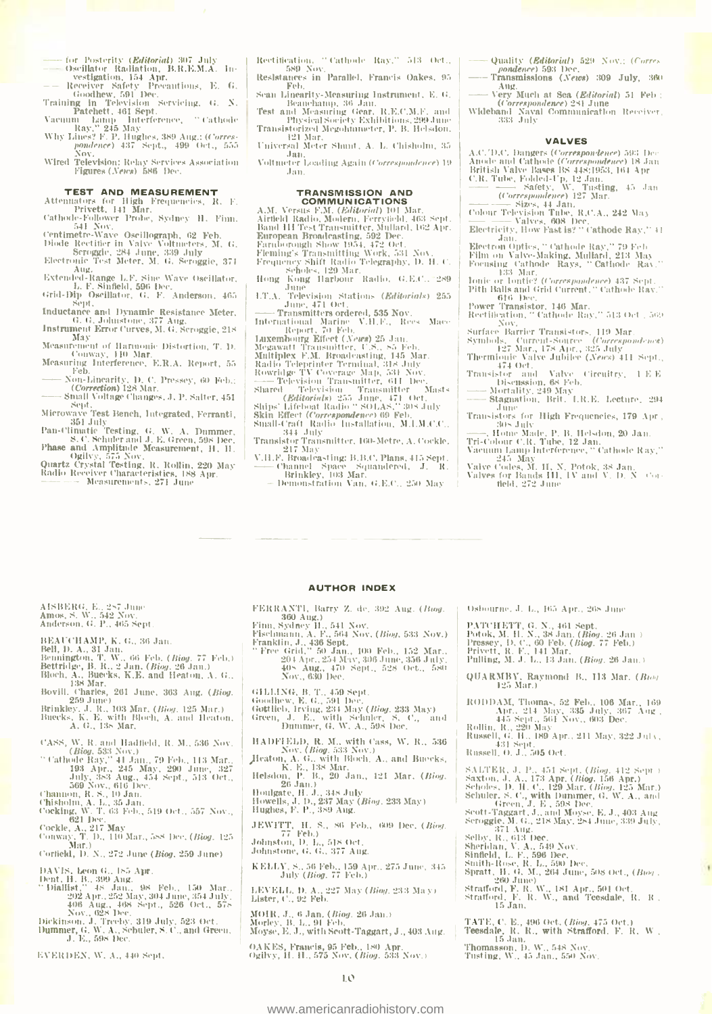- 
- 
- Interference, "Cathode
- Vacuum Lamp Interference, "Cathode<br>Why Easy 245 May Elimes<br>Why Lines? F. P. Hughes, 389 Aug.: (Corres-<br>pondence) 437 Sept., 499 Oct., 555
- Nov. Wired Television: Relay Services Association<br>Figures (News) 586 Dec.

- **TEST AND MEASUREMENT**<br>Attenuators for High Frequencies, R. F.<br>Privett, 141 Mar.<br>Cathode-Follower Probe, Sydney H. Finn.
- Cathode-Foulower (Fronce, Sydney (H. Unin, Centimetre-Wave Oscillograph, 62 Feb. Diode Rectifier in Valve Voltmeters, M. G. Seroggie, 284 June (339 July)<br>Electronic Test Metal, and the Seroggie, 284 June (339 July)<br>Electro
- 
- $A \cup \sigma$ .
- Extended-Range L.F. Sine Wave Oscillator,<br>L. F. Sinfield, 596 Dec.<br>Grid-Dip Oscillator, G. F. Anderson, 465
- 
- Sept. (2001)<br>
Sept. (2001)<br>
Inductance and Dynamic Resistance Meter.<br>
G. G. Johnstone, 377 Aug.<br>
Instrument Error Curves, M. G. Seroggie, 218
- May Measurement of Harmonic Distortion, T. D.
- Measurement or Harrison Basic Convay, 110 Mar.<br>Measuring Interference, E.R.A. Report, 55
- Feb
- Fon-Linearity, D. C. Pressey, 60 Feb.;<br>(Correction) 128 Mar.<br>Small Voltage Changes, J. P. Salter, 451
- Sept,<br>Microwave Test Bench, Integrated, Ferranti,
- 
- Microwave Test Bench, integrated, regrammer, 351 July 1941<br>Pan-Climatic Testing, G. W. A. Dummer, S.C. Schuder and J. E. Green, 598 Dec.<br>Phase and Amplitude Measurement, H. II.<br>Oglivy, 575 Nov.<br>Quivy, 575 Nov.<br>Quivy, 575 N
- 
- $\frac{Reetification_{0}}{589 \text{ Nov.}} \text{ 'Cathode\_Ray.''} \text{ '513\_Oct.},$
- Resistances in Parallel, Francis Oakes, 95 Feb
- Sean Linearity-Measuring Instrument, E. G.
- Beanchamp, 36 Jan.<br>Test and Measuring Gear. R.E.C.M.F. and<br>Physical Society Exhibitions, 299 Jane Transistorized Megohameter, P. B. Helsdon,
- 121 Mar.<br>Universal Meter Shunt, A. L. Chisholm, 35
- Jan.<br>Voltmeter Loading Again (Correspondence) 19 Jan.

#### **TRANSMISSION AND COMMUNICATIONS**

- A.M. Versus F.M. (Editorial) 101 Mar.<br>Airtheld Radio, Modern, Ferryfield, 463 Sept.<br>Band HI Test Transmitter, Mullard, 162 Apr.
- Banc 111 Fest Fransouver, aminator, 102 Apr.<br>European Broadcasting, 592 Dec.<br>Faruborough Show 1954, 472 Oct.<br>Fleming's Transmitting Work, 531 Nov.<br>Frequency Shift Radio Telegraphy, D. H. C.
- 
- Englishedes, 129 Mar.<br>Hong Kong Harbour Radio, G.E.C., 289
- June
- 
- June<br>
1.T.A. Television Stations (*Editorials*) 255<br>
1.T.A. Television Stations (*Editorials*) 255<br>
1.Transmitters ordered, 535 Nov.<br>
International Marine V.H.F., Rees Mace<br>
Report, 70 Feb.<br>
1.Regawatt Transmitter, C.S.,
- 
- 
- 
- 
- Multiplex F.M. Broadcasting, 145 Mart<br>Radio Teleprinter Terminal, 318 July<br>Rowridge TV Coverage Map, 531 Nov.<br>——Television Transmitter, 611 Dec.<br>Shared Television Transmitter Mast<br>(*Editorials*) 255 June, 471 Oct.<br>Ships Li Mast«
- 
- 
- 
- 
- 
- Small-Craft Radio Installation, M.I.M.C.C.,<br>Transistor Transmitter, 160-Metre, A. Cockle,<br>217 May 2217 March 1892<br>V.H.P. Broadcasting: B.B.C. Plans, 415 Sept.<br>- Channel Space Squandered, J. R.<br>- Brinkley, 103 Mar.<br>- Demons
- Quality (Editorial) 529 Nov.: (Corres pondence) 593 Dec.
- Transmissions (News) 309 July, 360 Ang.
- Nig, Nigh at Sea (*Editorial*) 51 Feb :<br>(Correspondence) 251 June<br>Wideband Naval Communication Receiver,<br>333 July
- 

#### **VALVES**

- A.C. D.C. Dangers (Correspondence) 593 Dec A.C. D.C. Dangers (Correspondence) 585 (Deep and Cathode (Correspondence) 18 Jan<br>British Valve Bases 185 448:1953, 164 Apr<br>British Valve Bases 185 448:1953, 164 Apr<br>C.R. Tube, Folded-Up, 12 Jan.<br>(Correspondence) 127 Mar.
- 
- 
- Colour Telescope Sizes, 44 Jan.<br>
Colour Telesciston Tube, R.C.A., 242 May<br>
Electricity, Howe, 608 Dec.<br>
Electricity, How Past is? " Cathode Ray," 41
- Jan
- Jam. (1997)<br>Film on Valve-Making, Mullard, 213 May<br>Film on Valve-Making, Mullard, 213 May<br>Focusing ("athode" Rays, ""Cathode" Ray."<br>Jonie or Loutie? (Correspondence) 437 Sept.<br>Pith Balls and Grid Current," Cathode Ray."
- -
- Furnamental Gift Dec.<br>1966 Dec.<br>Power Transistor, 146 Mar.<br>Rectification, '' Cathode Ray,'' 513 Oct , 569
- 
- Recuperties Barrier Transistors, 143 Oct , 367<br>Sinface Barrier Transistors, 119 Mar.<br>Symbols, Current-Source (Correspondence)<br>Thermionic Valve Jubilee (News) 411 Sept.,<br> $\pi$ -article Valve Jubilee (News) 411 Sept.,
- 
- 
- June Transistors for High Frequencies, 179 Apr.,
- 308 July
- over any Hade, P. B. Helsdon, 20 Jan.<br>Tri-Colour C.R. Tube, 12 Jan.<br>Vacuum Lamp Interference, '' Cathode Ray,''
- 
- Vacuum ramp meets energy at animal state<br>
Valve Coles, May<br>
Valve Gor Bands III, IV and V. D. N. Correlation<br>
field, 272 June

Osbourne, J. L., 165 Apr., 268 June

PATCHETT, G. N., 461 Sept.<br>Potok, M. H. N., 38 Jan. (*Biog.* 26 Jan.)<br>Pressey, D. C., 60 Feb. (*Biog.* 77 Feb.)<br>Privett, R. F., 141 Mar.<br>Pulling, M. J. L., 13 Jan. (*Biog.* 26 Jan.)

QUARMBY, Raymond B., 113 Mar. (Boot

RODDAM, Thomas, 52 Feb., 106 Mar., 169<br>Apr., 214 May, 335 July, 367 Aug.,<br>445 Sept., 561 Nov., 603 Dec.<br>Rubsell, G. 220 May<br>Rubsell, G. H., 189 Apr., 211 May, 322 July,<br>199 431 Sept.<br>200 Car.

cassen, o, a., 565 oct.<br>
SAMTER, J. P., 455 PP. (Biog. 442 Sept.)<br>
SAXton, J. A., 173 Apr. (Biog. 156 Apr.)<br>
Scholes, D. H. C. 1229 Mar. (Biog. 125 Mar.)<br>
Schuler, S. C., with Dummer, G. W. A., and<br>
Scott-Taggart J., and

 $\begin{array}{l} \text{TATE, C, E., 496 Oct.} \left( \textit{Blog}, \, 475 \, \text{Oct.} \right) \\ \text{Teesdale, R, R., with Strafford, F. R, W.} \\ \text{15 Jan.} \\ \text{Tnomasson, D. W., 548 Nov.} \\ \text{Tusting, W., 45 Jan., 550 Nov.} \end{array}$ 

Russell, O. J., 505 Oct.

15 Jan.

- AISBERG, E., 287 June<br>Amos, S. W., 542 Nov.<br>Anderson, G. P., 465 Sept.
- 
- 
- 
- 
- 
- BEAUCHAMP, K. G., 36 Jan.<br>
Bell, D. A., 31 Jan.<br>
Bennington, T. W., 66 Feb. *(Biog. 77 Feb.)*<br>
Bennington, T. W., 66 Feb. *(Biog.* 26 Jan.)<br>
Bloch, A., Buecks, K.E. and Heaton, A. G.,<br>
Bowlll, Charles, 261 June, 363 Aug.
- 
- 259 June)<br>Brinkley, J. R., 103 Mar, *(Biog,* 125 Mar.)<br>Buecks, K. E. with Bloch, A. and Heaton,<br>A. G., 138 Mar.
- 
- $\begin{tabular}{ll} \textbf{CASS}, \textbf{W}, \textbf{R}, \textbf{and Hadfield}, \textbf{R}, \textbf{M}, 536 \text{ Nov}, \\ \textbf{(Blog, 533 Nov.)} \\ \textbf{``Cathode Ray,''} + 1 Jan., 79 Feb., 113 Mar., 193 Apr., 245 May., 290 Jun, 327 July, 383 Aug., 454 Sept., 513 Oct., 569 Now, 616 Joe, 600 Now, 616 Joe, 600 May, 614. Chisholm, A. L., 35 Jan., Coekhe, A. L., 35 Jan., Coekhe, A., 217 May, 71,$
- 
- 
- 
- 
- Conway, T.<br>Mar.)
- Corfield, D. N., 272 June (Biog, 259 June)
- 
- 
- 
- 
- 

EVERDEN, W. A., 440 Sept.

#### **AUTHOR INDEX**

- FERRANTI, Barry Z. de. 392 Aug. (Boog
- 
- FERRANTI, Barry Z. de, 392 Aug. (*Buog.*<br>
300 Aug.)<br>
Finn, Sydney H., 541 Nov.<br>
Finsen, A. F., 564 Nov. (*Biog.* 533 Nov.)<br>
Fischmann, A. F., 564 Nov. (*Biog.* 533 Nov.)<br>
Franklin, J., 436 Sept.<br>
"Free Grid." 50 Jan., 100
- 
- 
- GILLING, B. T., 459 Sept.<br>Goodhew, E. G., 591 Dec.<br>Goottlieb, Irving, 234 May) (Biog, 233 May) Green, J. E., with Schuler, S. C., at Dunnner, G. W. A., 598 Dec.  $S_1$   $C_2$  and
- HADFIELD, R. M., with Cass, W. R., 536 HADFIELD, R. M., with Cass, W. R., 200<br>Mov., (Biog, 533 Nov.)<br>Heaton, A. G., with Bloch, A., and Buccks, K. E., 138 Mar.<br>Helsdon, P. B., 20 Jan., 121 Mar. (Biog, P. 63, 20 Jan., 121 Mar. (Biog,

Helsdon, P. B., 20 Jan., 121 Mar. (1990)<br>26 Jan.)<br>Houlgate, H. J., 348 July<br>Hughes, J. D., 237 May (*Biog*, 233 May)<br>Hughes, F. P., 389 Aug.

 $\begin{array}{ll} {\rm JEWTTT, \;\; H, \;\; S.,\;\;86\;\;Feb.,\;\;609\;\;Dec.\;\;(Blog, \;\; {\rm Johnston, \;D. \;\; L.,\;\;518\;\;Oct.} \\ {\rm Johnston, \;\;U, \;\; G.,\;\;377\;\; Aug.} \end{array}$ 

KELLY, S., 56 Feb., 159 Apr., 275 June, 345<br>July (Biog, 77 Feb.)

LEVELL, D. A., 227 May  $(Blog, 23.3$  May) Lister, C., 92 Feb.

MOIR, J., 6 Jan, (*Biog.* 26 Jan.)<br>Morley, B. L., 91 Feb.<br>Moyse, E. J., with Scott-Taggart, J., 403 Aug.

 $10$ 

www.americanradiohistory.com

OAKES, Francis, 95 Feb., 180 Apr.<br>Ogilvy, H. H., 575 Nov, (Biog. 533 Nov.)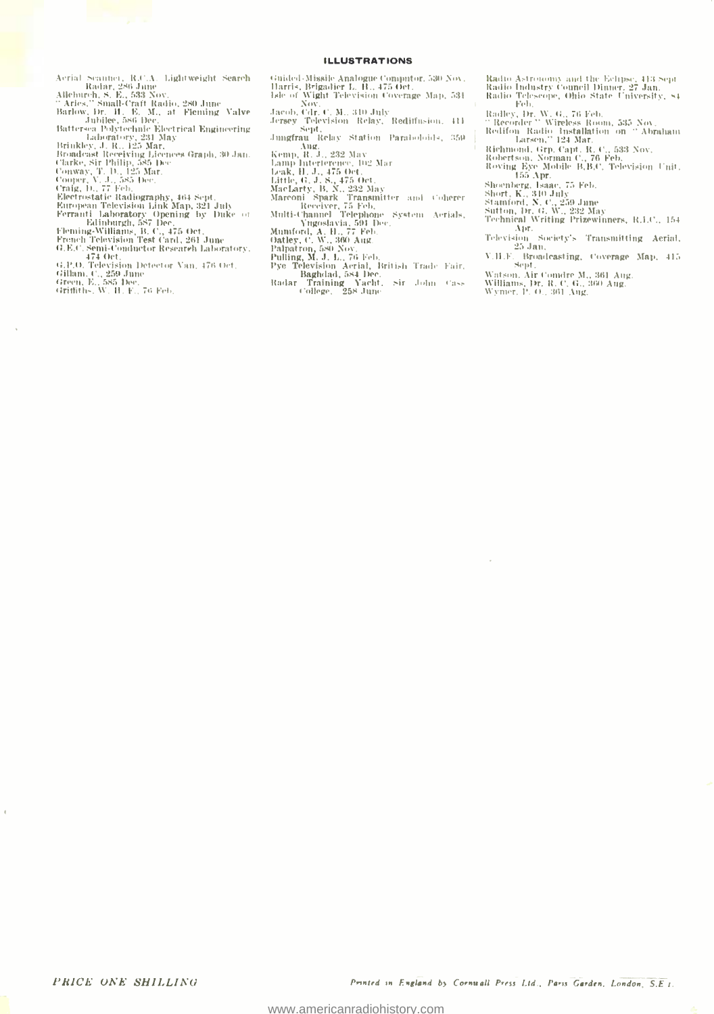#### **ILLUSTRATIONS**

- 
- 
- 
- Aerial Seanne, R.C.A. Lightweight Search<br>
Radar, 286 June<br>
Radar, 286 June<br>
Radar, 286 June<br>
Tarics," Small-Craft Radio, 280 June<br>
Bardo, Dr. H. E. M., at Fleming Valve<br>
Bardo, June<br>
Bardo, at Fleming Valve<br>
Bardens Polyt
- 
- 
- 
- 
- 
- 
- 
- 
- 
- 
- 
- G.C.O. Television Detector<br>Gillam, C., 259 June<br>Green, E., 585 Dec.<br>Griffiths, W. H. F., 76 Feb.
- 
- 
- Guided-Missile Analogue Computor, 530 Nov.<br>Harris, Brigadier L. H., 475 Oct.<br>Isle of Wight Television Coverage Map, 531
- Nov.
- 
- Macob, Cdr. C. M., 310 July<br>Jersey (Television: Relay, "Rediffusion, 411)<br>Sept. (Sept. Relay, "Rediffusion, 411)<br>Jungfrau (Relay Station: Paraboloids, 359) Super Republication - Paraboloids, 359<br>
Magnaria Relay Station - Paraboloids, 359<br>
Kemp, R. J., 232 May<br>
Lamp Interference, 102 Mar<br>
Leak, H. J., 475 Oct.<br>
Little, G. J. S., 475 Oct.<br>
Marconi - Spark Transmitter and Cohere
- 
- 
- 
- 
- 
- 
- 
- 
- 
- 
- 
- 

Radio Astronomy and the Eclipse, 413 Sept Radio Industry Council Dinner, 27 Jan.<br>Radio Telescope, Ohio State University, 84 Feb.

- 
- 
- ren,<br>Radley, Dr. W. G., 76 Feb.<br>" Recorder " Wireless Room, 535 Nov.<br>Redifon Radio Installation on " Abraham<br>- Larsen," 124 Mar.
- 
- 
- Latsen," 124 Mar.<br>Richmond, Grp. Capt. R. C., 533 Nov.<br>Robertson, Norman C., 76 Feb.<br>Roving Eye Mobile B.B.C. Television Unit.<br>To Apr.<br>Shoenberg, Isaac. 75 Feb.<br>Shoenberg, Isaac. 75 Feb.<br>Short, K., 310 July<br>Stamford, N. C.
- 
- 
- 
- 
- Apr.
- 
- Aristophy Society's Transmitting Aerial,<br>25 Jan, 25 Jan, Coverage Map, 415<br>Sept. Broadcasting, Coverage Map, 415
- Watson, Air Comdre M., 361 Aug.<br>Williams, Dr. R. C. G., 360 Aug.<br>Wymer, P. O., 361 Aug.
- 
-